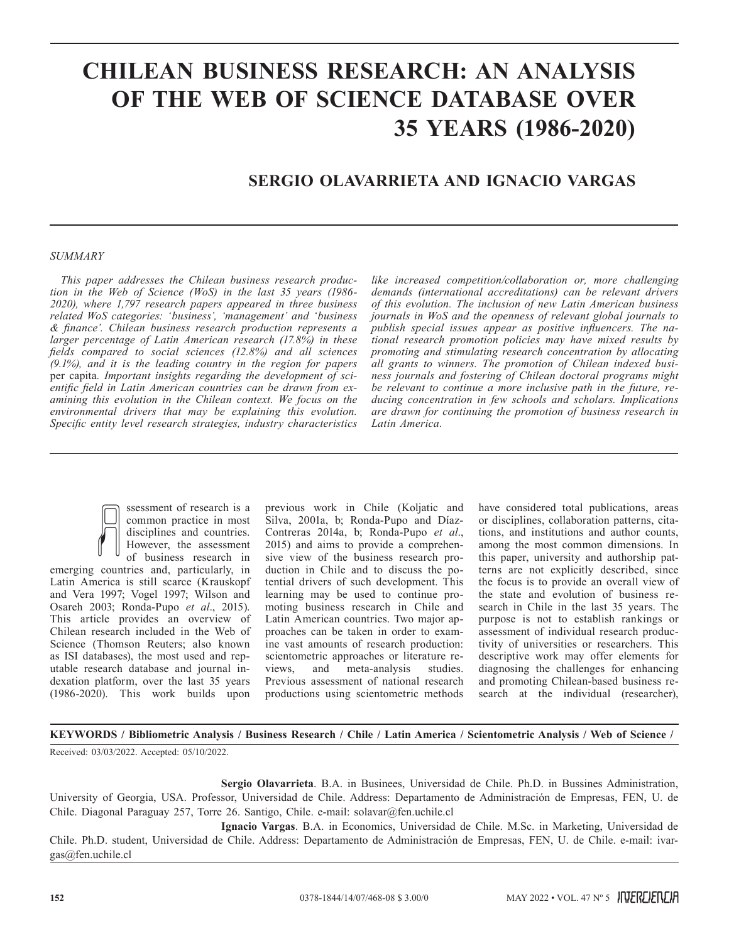# **CHILEAN BUSINESS RESEARCH: AN ANALYSIS OF THE WEB OF SCIENCE DATABASE OVER 35 YEARS (1986-2020)**

## **SERGIO OLAVARRIETA AND IGNACIO VARGAS**

#### *SUMMARY*

*This paper addresses the Chilean business research production in the Web of Science (WoS) in the last 35 years (1986- 2020), where 1,797 research papers appeared in three business related WoS categories: 'business', 'management' and 'business & finance'. Chilean business research production represents a larger percentage of Latin American research (17.8%) in these fields compared to social sciences (12.8%) and all sciences (9.1%), and it is the leading country in the region for papers*  per capita*. Important insights regarding the development of scientific field in Latin American countries can be drawn from examining this evolution in the Chilean context. We focus on the environmental drivers that may be explaining this evolution. Specific entity level research strategies, industry characteristics* 

*like increased competition/collaboration or, more challenging demands (international accreditations) can be relevant drivers of this evolution. The inclusion of new Latin American business journals in WoS and the openness of relevant global journals to publish special issues appear as positive influencers. The national research promotion policies may have mixed results by promoting and stimulating research concentration by allocating all grants to winners. The promotion of Chilean indexed business journals and fostering of Chilean doctoral programs might be relevant to continue a more inclusive path in the future, reducing concentration in few schools and scholars. Implications are drawn for continuing the promotion of business research in Latin America.*



emerging countries and, particularly, in Latin America is still scarce (Krauskopf and Vera 1997; Vogel 1997; Wilson and Osareh 2003; Ronda-Pupo *et al*., 2015). This article provides an overview of Chilean research included in the Web of Science (Thomson Reuters; also known as ISI databases), the most used and reputable research database and journal indexation platform, over the last 35 years (1986-2020). This work builds upon

previous work in Chile (Koljatic and Silva, 2001a, b; Ronda-Pupo and Díaz-Contreras 2014a, b; Ronda-Pupo *et al*., 2015) and aims to provide a comprehensive view of the business research production in Chile and to discuss the potential drivers of such development. This learning may be used to continue promoting business research in Chile and Latin American countries. Two major approaches can be taken in order to examine vast amounts of research production: scientometric approaches or literature reviews, and meta-analysis studies. Previous assessment of national research productions using scientometric methods have considered total publications, areas or disciplines, collaboration patterns, citations, and institutions and author counts, among the most common dimensions. In this paper, university and authorship patterns are not explicitly described, since the focus is to provide an overall view of the state and evolution of business research in Chile in the last 35 years. The purpose is not to establish rankings or assessment of individual research productivity of universities or researchers. This descriptive work may offer elements for diagnosing the challenges for enhancing and promoting Chilean-based business research at the individual (researcher),

**KEYWORDS / Bibliometric Analysis / Business Research / Chile / Latin America / Scientometric Analysis / Web of Science /**

Received: 03/03/2022. Accepted: 05/10/2022.

**Sergio Olavarrieta**. B.A. in Businees, Universidad de Chile. Ph.D. in Bussines Administration, University of Georgia, USA. Professor, Universidad de Chile. Address: Departamento de Administración de Empresas, FEN, U. de Chile. Diagonal Paraguay 257, Torre 26. Santigo, Chile. e-mail: solavar@fen.uchile.cl

**Ignacio Vargas**. B.A. in Economics, Universidad de Chile. M.Sc. in Marketing, Universidad de Chile. Ph.D. student, Universidad de Chile. Address: Departamento de Administración de Empresas, FEN, U. de Chile. e-mail: ivargas@fen.uchile.cl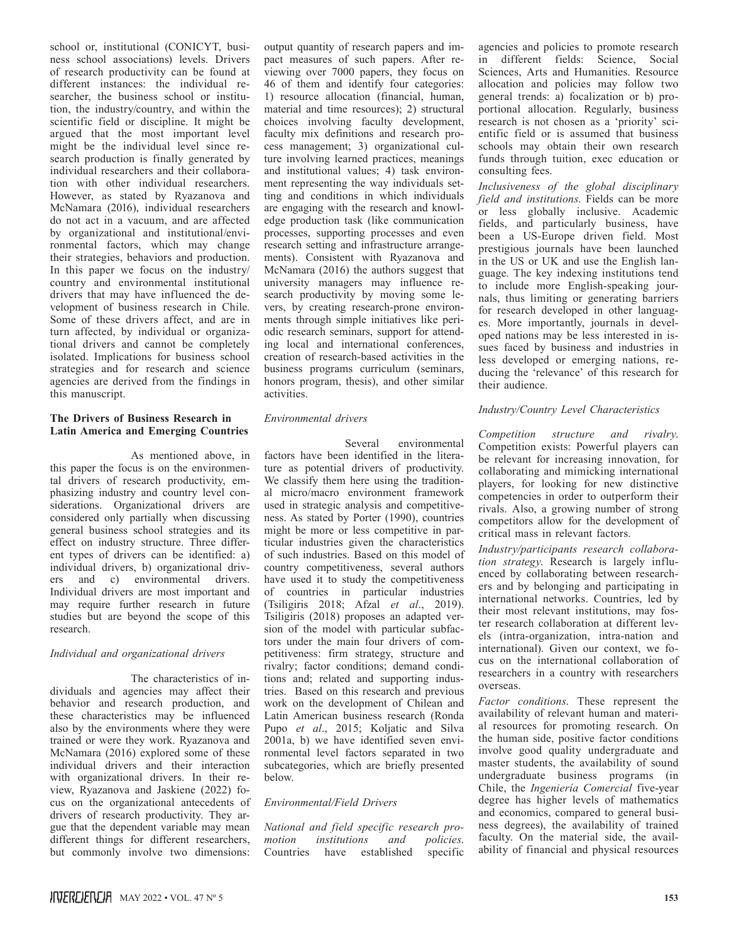school or, institutional (CONICYT, business school associations) levels. Drivers of research productivity can be found at different instances: the individual researcher, the business school or institution, the industry/country, and within the scientific field or discipline. It might be argued that the most important level might be the individual level since research production is finally generated by individual researchers and their collaboration with other individual researchers. However, as stated by Ryazanova and McNamara (2016), individual researchers do not act in a vacuum, and are affected by organizational and institutional/environmental factors, which may change their strategies, behaviors and production. In this paper we focus on the industry/ country and environmental institutional drivers that may have influenced the development of business research in Chile. Some of these drivers affect, and are in turn affected, by individual or organizational drivers and cannot be completely isolated. Implications for business school strategies and for research and science agencies are derived from the findings in this manuscript.

## **The Drivers of Business Research in Latin America and Emerging Countries**

As mentioned above, in this paper the focus is on the environmental drivers of research productivity, emphasizing industry and country level considerations. Organizational drivers are considered only partially when discussing general business school strategies and its effect on industry structure. Three different types of drivers can be identified: a) individual drivers, b) organizational drivers and c) environmental drivers. Individual drivers are most important and may require further research in future studies but are beyond the scope of this research.

## *Individual and organizational drivers*

The characteristics of individuals and agencies may affect their behavior and research production, and these characteristics may be influenced also by the environments where they were trained or were they work. Ryazanova and McNamara (2016) explored some of these individual drivers and their interaction with organizational drivers. In their review, Ryazanova and Jaskiene (2022) focus on the organizational antecedents of drivers of research productivity. They argue that the dependent variable may mean different things for different researchers, but commonly involve two dimensions:

output quantity of research papers and impact measures of such papers. After reviewing over 7000 papers, they focus on 46 of them and identify four categories: 1) resource allocation (financial, human, material and time resources); 2) structural choices involving faculty development, faculty mix definitions and research process management; 3) organizational culture involving learned practices, meanings and institutional values; 4) task environment representing the way individuals setting and conditions in which individuals are engaging with the research and knowledge production task (like communication processes, supporting processes and even research setting and infrastructure arrangements). Consistent with Ryazanova and McNamara (2016) the authors suggest that university managers may influence research productivity by moving some levers, by creating research-prone environments through simple initiatives like periodic research seminars, support for attending local and international conferences, creation of research-based activities in the business programs curriculum (seminars, honors program, thesis), and other similar activities.

## *Environmental drivers*

Several environmental factors have been identified in the literature as potential drivers of productivity. We classify them here using the traditional micro/macro environment framework used in strategic analysis and competitiveness. As stated by Porter (1990), countries might be more or less competitive in particular industries given the characteristics of such industries. Based on this model of country competitiveness, several authors have used it to study the competitiveness of countries in particular industries (Tsiligiris 2018; Afzal *et al*., 2019). Tsiligiris (2018) proposes an adapted version of the model with particular subfactors under the main four drivers of competitiveness: firm strategy, structure and rivalry; factor conditions; demand conditions and; related and supporting industries. Based on this research and previous work on the development of Chilean and Latin American business research (Ronda Pupo *et al*., 2015; Koljatic and Silva 2001a, b) we have identified seven environmental level factors separated in two subcategories, which are briefly presented below.

## *Environmental/Field Drivers*

*National and field specific research promotion institutions and policies*. Countries have established specific agencies and policies to promote research in different fields: Science, Social Sciences, Arts and Humanities. Resource allocation and policies may follow two general trends: a) focalization or b) proportional allocation. Regularly, business research is not chosen as a 'priority' scientific field or is assumed that business schools may obtain their own research funds through tuition, exec education or consulting fees.

*Inclusiveness of the global disciplinary field and institutions*. Fields can be more or less globally inclusive. Academic fields, and particularly business, have been a US-Europe driven field. Most prestigious journals have been launched in the US or UK and use the English language. The key indexing institutions tend to include more English-speaking journals, thus limiting or generating barriers for research developed in other languages. More importantly, journals in developed nations may be less interested in issues faced by business and industries in less developed or emerging nations, reducing the 'relevance' of this research for their audience.

## *Industry/Country Level Characteristics*

*Competition structure and rivalry*. Competition exists: Powerful players can be relevant for increasing innovation, for collaborating and mimicking international players, for looking for new distinctive competencies in order to outperform their rivals. Also, a growing number of strong competitors allow for the development of critical mass in relevant factors.

*Industry/participants research collaboration strategy*. Research is largely influenced by collaborating between researchers and by belonging and participating in international networks. Countries, led by their most relevant institutions, may foster research collaboration at different levels (intra-organization, intra-nation and international). Given our context, we focus on the international collaboration of researchers in a country with researchers overseas.

*Factor conditions*. These represent the availability of relevant human and material resources for promoting research. On the human side, positive factor conditions involve good quality undergraduate and master students, the availability of sound undergraduate business programs (in Chile, the *Ingeniería Comercial* five-year degree has higher levels of mathematics and economics, compared to general business degrees), the availability of trained faculty. On the material side, the availability of financial and physical resources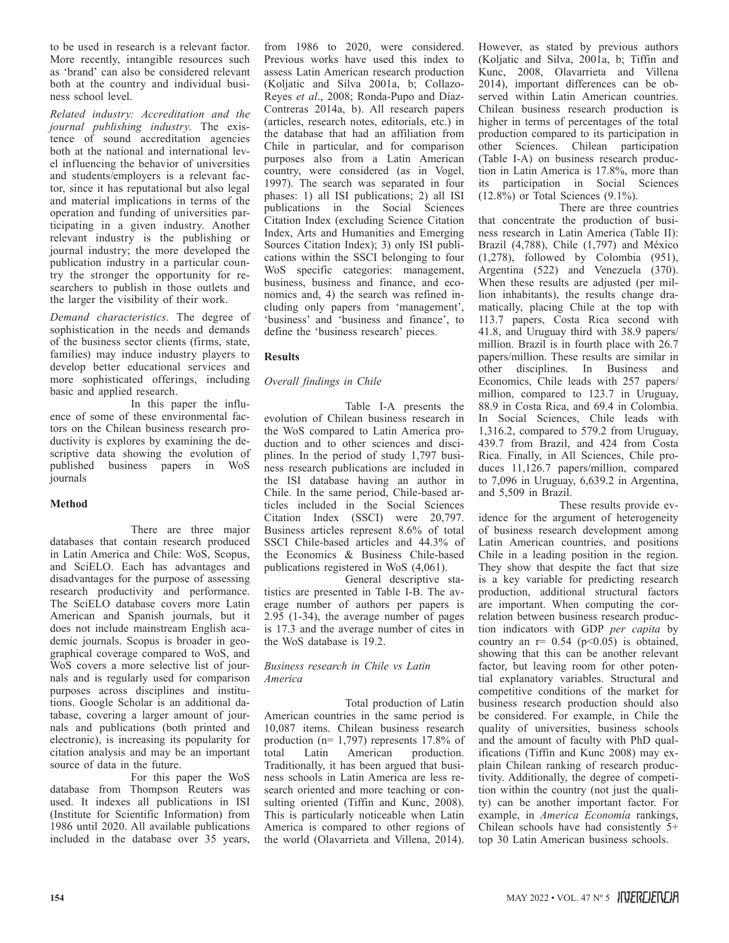to be used in research is a relevant factor. More recently, intangible resources such as 'brand' can also be considered relevant both at the country and individual business school level.

*Related industry: Accreditation and the journal publishing industry*. The existence of sound accreditation agencies both at the national and international level influencing the behavior of universities and students/employers is a relevant factor, since it has reputational but also legal and material implications in terms of the operation and funding of universities participating in a given industry. Another relevant industry is the publishing or journal industry; the more developed the publication industry in a particular country the stronger the opportunity for researchers to publish in those outlets and the larger the visibility of their work.

*Demand characteristics*. The degree of sophistication in the needs and demands of the business sector clients (firms, state, families) may induce industry players to develop better educational services and more sophisticated offerings, including basic and applied research.

In this paper the influence of some of these environmental factors on the Chilean business research productivity is explores by examining the descriptive data showing the evolution of published business papers in WoS journals

## **Method**

There are three major databases that contain research produced in Latin America and Chile: WoS, Scopus, and SciELO. Each has advantages and disadvantages for the purpose of assessing research productivity and performance. The SciELO database covers more Latin American and Spanish journals, but it does not include mainstream English academic journals. Scopus is broader in geographical coverage compared to WoS, and WoS covers a more selective list of journals and is regularly used for comparison purposes across disciplines and institutions. Google Scholar is an additional database, covering a larger amount of journals and publications (both printed and electronic), is increasing its popularity for citation analysis and may be an important source of data in the future.

For this paper the WoS database from Thompson Reuters was used. It indexes all publications in ISI (Institute for Scientific Information) from 1986 until 2020. All available publications included in the database over 35 years,

from 1986 to 2020, were considered. Previous works have used this index to assess Latin American research production (Koljatic and Silva 2001a, b; Collazo-Reyes *et al*., 2008; Ronda-Pupo and Díaz-Contreras 2014a, b). All research papers (articles, research notes, editorials, etc.) in the database that had an affiliation from Chile in particular, and for comparison purposes also from a Latin American country, were considered (as in Vogel, 1997). The search was separated in four phases: 1) all ISI publications; 2) all ISI publications in the Social Sciences Citation Index (excluding Science Citation Index, Arts and Humanities and Emerging Sources Citation Index); 3) only ISI publications within the SSCI belonging to four WoS specific categories: management, business, business and finance, and economics and, 4) the search was refined including only papers from 'management', 'business' and 'business and finance', to define the 'business research' pieces.

## **Results**

## *Overall findings in Chile*

Table I-A presents the evolution of Chilean business research in the WoS compared to Latin America production and to other sciences and disciplines. In the period of study 1,797 business research publications are included in the ISI database having an author in Chile. In the same period, Chile-based articles included in the Social Sciences Citation Index (SSCI) were 20,797. Business articles represent 8.6% of total SSCI Chile-based articles and 44.3% of the Economics & Business Chile-based publications registered in WoS (4,061).

General descriptive statistics are presented in Table I-B. The average number of authors per papers is 2.95 (1-34), the average number of pages is 17.3 and the average number of cites in the WoS database is 19.2.

## *Business research in Chile vs Latin America*

Total production of Latin American countries in the same period is 10,087 items. Chilean business research production (n= 1,797) represents 17.8% of total Latin American production. Traditionally, it has been argued that business schools in Latin America are less research oriented and more teaching or consulting oriented (Tiffin and Kunc, 2008). This is particularly noticeable when Latin America is compared to other regions of the world (Olavarrieta and Villena, 2014).

However, as stated by previous authors (Koljatic and Silva, 2001a, b; Tiffin and Kunc, 2008, Olavarrieta and Villena 2014), important differences can be observed within Latin American countries. Chilean business research production is higher in terms of percentages of the total production compared to its participation in other Sciences. Chilean participation (Table I-A) on business research production in Latin America is 17.8%, more than its participation in Social Sciences  $(12.8\%)$  or Total Sciences  $(9.1\%)$ .

There are three countries that concentrate the production of business research in Latin America (Table II): Brazil (4,788), Chile (1,797) and México (1,278), followed by Colombia (951), Argentina (522) and Venezuela (370). When these results are adjusted (per million inhabitants), the results change dramatically, placing Chile at the top with 113.7 papers, Costa Rica second with 41.8, and Uruguay third with 38.9 papers/ million. Brazil is in fourth place with 26.7 papers/million. These results are similar in other disciplines. In Business and Economics, Chile leads with 257 papers/ million, compared to 123.7 in Uruguay, 88.9 in Costa Rica, and 69.4 in Colombia. In Social Sciences, Chile leads with 1,316.2, compared to 579.2 from Uruguay, 439.7 from Brazil, and 424 from Costa Rica. Finally, in All Sciences, Chile produces 11,126.7 papers/million, compared to 7,096 in Uruguay, 6,639.2 in Argentina, and 5,509 in Brazil.

These results provide evidence for the argument of heterogeneity of business research development among Latin American countries, and positions Chile in a leading position in the region. They show that despite the fact that size is a key variable for predicting research production, additional structural factors are important. When computing the correlation between business research production indicators with GDP *per capita* by country an  $r = 0.54$  ( $p < 0.05$ ) is obtained, showing that this can be another relevant factor, but leaving room for other potential explanatory variables. Structural and competitive conditions of the market for business research production should also be considered. For example, in Chile the quality of universities, business schools and the amount of faculty with PhD qualifications (Tiffin and Kunc 2008) may explain Chilean ranking of research productivity. Additionally, the degree of competition within the country (not just the quality) can be another important factor. For example, in *America Economía* rankings, Chilean schools have had consistently 5+ top 30 Latin American business schools.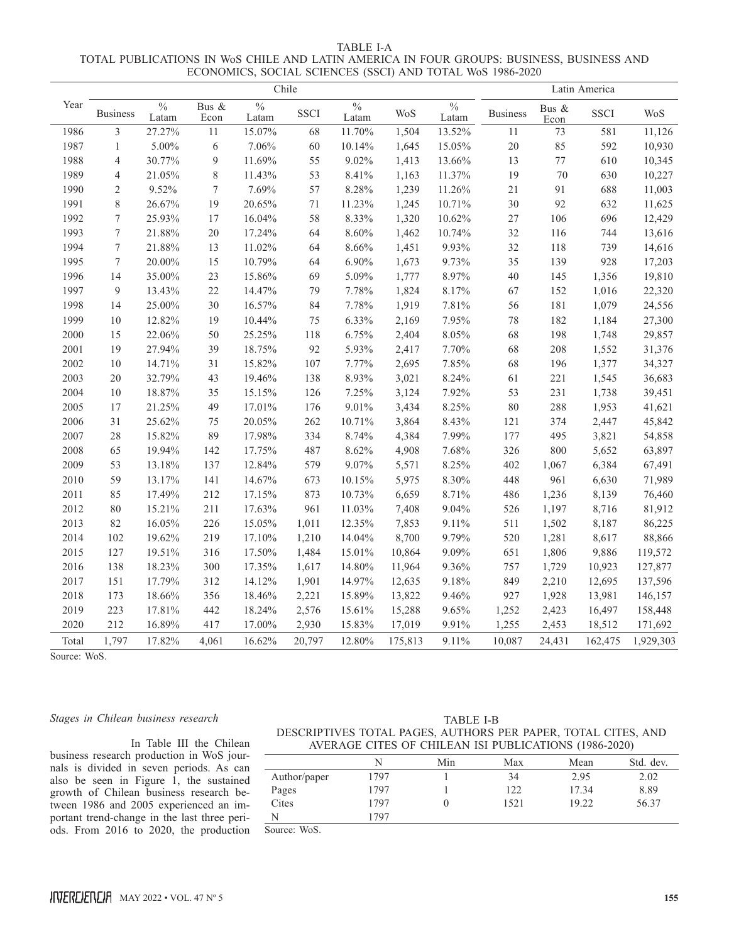| TABLE LA                                                                                 |  |
|------------------------------------------------------------------------------------------|--|
| TOTAL PUBLICATIONS IN W0S CHILE AND LATIN AMERICA IN FOUR GROUPS: BUSINESS, BUSINESS AND |  |
| ECONOMICS, SOCIAL SCIENCES (SSCI) AND TOTAL WoS 1986-2020                                |  |

|       | Chile            |                        |                  |                        |             |                        |         |                        | Latin America   |               |             |            |
|-------|------------------|------------------------|------------------|------------------------|-------------|------------------------|---------|------------------------|-----------------|---------------|-------------|------------|
| Year  | <b>Business</b>  | $\frac{0}{0}$<br>Latam | Bus &<br>Econ    | $\frac{0}{0}$<br>Latam | <b>SSCI</b> | $\frac{0}{0}$<br>Latam | WoS     | $\frac{0}{0}$<br>Latam | <b>Business</b> | Bus &<br>Econ | <b>SSCI</b> | <b>WoS</b> |
| 1986  | $\overline{3}$   | 27.27%                 | 11               | 15.07%                 | 68          | 11.70%                 | 1,504   | 13.52%                 | 11              | 73            | 581         | 11,126     |
| 1987  | $\mathbf{1}$     | 5.00%                  | $\sqrt{6}$       | 7.06%                  | 60          | 10.14%                 | 1,645   | 15.05%                 | 20              | 85            | 592         | 10,930     |
| 1988  | $\overline{4}$   | 30.77%                 | 9                | 11.69%                 | 55          | 9.02%                  | 1,413   | 13.66%                 | 13              | $77 \,$       | 610         | 10,345     |
| 1989  | $\overline{4}$   | 21.05%                 | $\,$ $\,$        | 11.43%                 | 53          | 8.41%                  | 1,163   | 11.37%                 | 19              | 70            | 630         | 10,227     |
| 1990  | $\mathfrak{2}$   | 9.52%                  | $\boldsymbol{7}$ | 7.69%                  | 57          | 8.28%                  | 1,239   | 11.26%                 | $21\,$          | 91            | 688         | 11,003     |
| 1991  | $\,$ 8 $\,$      | 26.67%                 | 19               | 20.65%                 | 71          | 11.23%                 | 1,245   | 10.71%                 | 30              | 92            | 632         | 11,625     |
| 1992  | $\tau$           | 25.93%                 | 17               | 16.04%                 | 58          | 8.33%                  | 1,320   | 10.62%                 | 27              | 106           | 696         | 12,429     |
| 1993  | $\tau$           | 21.88%                 | $20\,$           | 17.24%                 | 64          | 8.60%                  | 1,462   | 10.74%                 | 32              | 116           | 744         | 13,616     |
| 1994  | $\boldsymbol{7}$ | 21.88%                 | 13               | 11.02%                 | 64          | 8.66%                  | 1,451   | 9.93%                  | 32              | 118           | 739         | 14,616     |
| 1995  | $\boldsymbol{7}$ | 20.00%                 | 15               | 10.79%                 | 64          | 6.90%                  | 1,673   | 9.73%                  | 35              | 139           | 928         | 17,203     |
| 1996  | 14               | 35.00%                 | 23               | 15.86%                 | 69          | 5.09%                  | 1,777   | 8.97%                  | 40              | 145           | 1,356       | 19,810     |
| 1997  | 9                | 13.43%                 | 22               | 14.47%                 | 79          | 7.78%                  | 1,824   | 8.17%                  | 67              | 152           | 1,016       | 22,320     |
| 1998  | 14               | 25.00%                 | 30               | 16.57%                 | 84          | 7.78%                  | 1,919   | 7.81%                  | 56              | 181           | 1,079       | 24,556     |
| 1999  | 10               | 12.82%                 | 19               | 10.44%                 | 75          | 6.33%                  | 2,169   | 7.95%                  | 78              | 182           | 1,184       | 27,300     |
| 2000  | 15               | 22.06%                 | 50               | 25.25%                 | 118         | 6.75%                  | 2,404   | 8.05%                  | 68              | 198           | 1,748       | 29,857     |
| 2001  | 19               | 27.94%                 | 39               | 18.75%                 | 92          | 5.93%                  | 2,417   | 7.70%                  | 68              | 208           | 1,552       | 31,376     |
| 2002  | 10               | 14.71%                 | 31               | 15.82%                 | 107         | 7.77%                  | 2,695   | 7.85%                  | 68              | 196           | 1,377       | 34,327     |
| 2003  | 20               | 32.79%                 | 43               | 19.46%                 | 138         | 8.93%                  | 3,021   | 8.24%                  | 61              | 221           | 1,545       | 36,683     |
| 2004  | 10               | 18.87%                 | 35               | 15.15%                 | 126         | 7.25%                  | 3,124   | 7.92%                  | 53              | 231           | 1,738       | 39,451     |
| 2005  | 17               | 21.25%                 | 49               | 17.01%                 | 176         | 9.01%                  | 3,434   | 8.25%                  | 80              | 288           | 1,953       | 41,621     |
| 2006  | 31               | 25.62%                 | 75               | 20.05%                 | 262         | 10.71%                 | 3,864   | 8.43%                  | 121             | 374           | 2,447       | 45,842     |
| 2007  | 28               | 15.82%                 | 89               | 17.98%                 | 334         | 8.74%                  | 4,384   | 7.99%                  | 177             | 495           | 3,821       | 54,858     |
| 2008  | 65               | 19.94%                 | 142              | 17.75%                 | 487         | 8.62%                  | 4,908   | 7.68%                  | 326             | 800           | 5,652       | 63,897     |
| 2009  | 53               | 13.18%                 | 137              | 12.84%                 | 579         | 9.07%                  | 5,571   | 8.25%                  | 402             | 1,067         | 6,384       | 67,491     |
| 2010  | 59               | 13.17%                 | 141              | 14.67%                 | 673         | 10.15%                 | 5,975   | 8.30%                  | 448             | 961           | 6,630       | 71,989     |
| 2011  | 85               | 17.49%                 | 212              | 17.15%                 | 873         | 10.73%                 | 6,659   | 8.71%                  | 486             | 1,236         | 8,139       | 76,460     |
| 2012  | 80               | 15.21%                 | 211              | 17.63%                 | 961         | 11.03%                 | 7,408   | 9.04%                  | 526             | 1,197         | 8,716       | 81,912     |
| 2013  | 82               | 16.05%                 | 226              | 15.05%                 | 1,011       | 12.35%                 | 7,853   | 9.11%                  | 511             | 1,502         | 8,187       | 86,225     |
| 2014  | 102              | 19.62%                 | 219              | 17.10%                 | 1,210       | 14.04%                 | 8,700   | 9.79%                  | 520             | 1,281         | 8,617       | 88,866     |
| 2015  | 127              | 19.51%                 | 316              | 17.50%                 | 1,484       | 15.01%                 | 10,864  | 9.09%                  | 651             | 1,806         | 9,886       | 119,572    |
| 2016  | 138              | 18.23%                 | 300              | 17.35%                 | 1,617       | 14.80%                 | 11,964  | 9.36%                  | 757             | 1,729         | 10,923      | 127,877    |
| 2017  | 151              | 17.79%                 | 312              | 14.12%                 | 1,901       | 14.97%                 | 12,635  | 9.18%                  | 849             | 2,210         | 12,695      | 137,596    |
| 2018  | 173              | 18.66%                 | 356              | 18.46%                 | 2,221       | 15.89%                 | 13,822  | 9.46%                  | 927             | 1,928         | 13,981      | 146,157    |
| 2019  | 223              | 17.81%                 | 442              | 18.24%                 | 2,576       | 15.61%                 | 15,288  | 9.65%                  | 1,252           | 2,423         | 16,497      | 158,448    |
| 2020  | 212              | 16.89%                 | 417              | 17.00%                 | 2,930       | 15.83%                 | 17,019  | 9.91%                  | 1,255           | 2,453         | 18,512      | 171,692    |
| Total | 1,797            | 17.82%                 | 4,061            | 16.62%                 | 20,797      | 12.80%                 | 175,813 | 9.11%                  | 10,087          | 24,431        | 162,475     | 1,929,303  |

Source: WoS.

#### *Stages in Chilean business research*

ods. From 2016 to 2020, the production Source: WoS. In Table III the Chilean business research production in WoS journals is divided in seven periods. As can also be seen in Figure  $\hat{1}$ , the sustained growth of Chilean business research between 1986 and 2005 experienced an important trend-change in the last three peri-

| TABLE I-B                                                     |
|---------------------------------------------------------------|
| DESCRIPTIVES TOTAL PAGES, AUTHORS PER PAPER, TOTAL CITES, AND |
| AVERAGE CITES OF CHILEAN ISI PUBLICATIONS (1986-2020)         |

|              |      | Min | Max  | Mean  | Std. dev. |
|--------------|------|-----|------|-------|-----------|
| Author/paper | 1797 |     | 34   | 2.95  | 2.02      |
| Pages        | 1797 |     | 122  | 17.34 | 8.89      |
| Cites        | 1797 |     | 1521 | 19.22 | 56.37     |
| N            | 797  |     |      |       |           |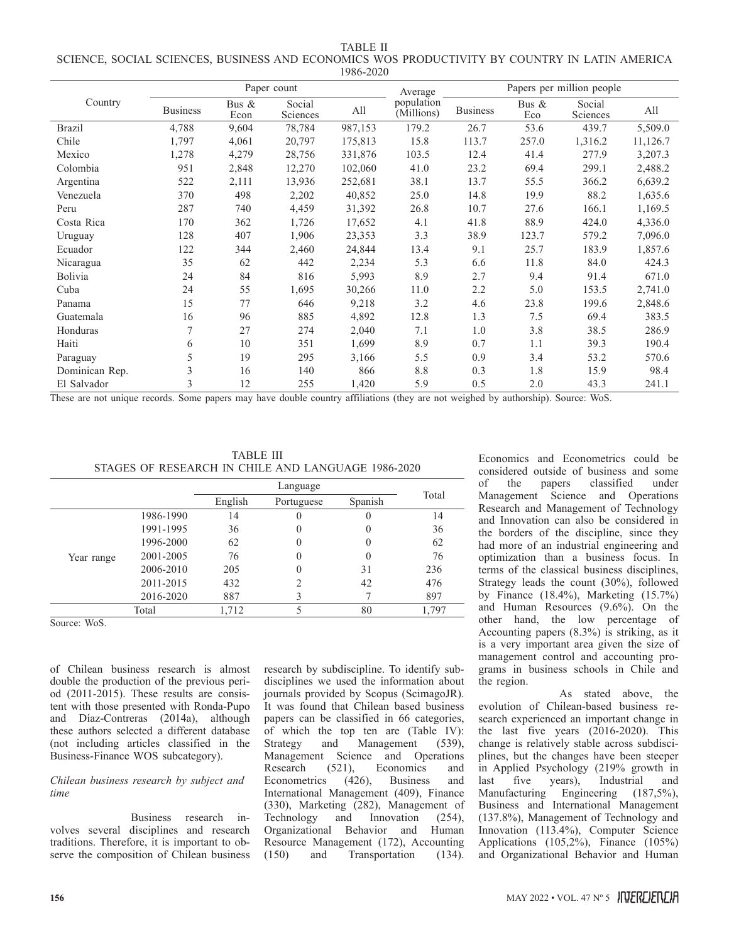TABLE II SCIENCE, SOCIAL SCIENCES, BUSINESS AND ECONOMICS WOS PRODUCTIVITY BY COUNTRY IN LATIN AMERICA 1986-2020

|                |                 | Paper count   |                    | Average | Papers per million people |                 |                 |                    |          |
|----------------|-----------------|---------------|--------------------|---------|---------------------------|-----------------|-----------------|--------------------|----------|
| Country        | <b>Business</b> | Bus &<br>Econ | Social<br>Sciences | All     | population<br>(Millions)  | <b>Business</b> | Bus $\&$<br>Eco | Social<br>Sciences | All      |
| <b>Brazil</b>  | 4,788           | 9,604         | 78,784             | 987,153 | 179.2                     | 26.7            | 53.6            | 439.7              | 5,509.0  |
| Chile          | 1,797           | 4,061         | 20,797             | 175,813 | 15.8                      | 113.7           | 257.0           | 1,316.2            | 11,126.7 |
| Mexico         | 1,278           | 4,279         | 28,756             | 331,876 | 103.5                     | 12.4            | 41.4            | 277.9              | 3,207.3  |
| Colombia       | 951             | 2,848         | 12,270             | 102,060 | 41.0                      | 23.2            | 69.4            | 299.1              | 2,488.2  |
| Argentina      | 522             | 2,111         | 13,936             | 252,681 | 38.1                      | 13.7            | 55.5            | 366.2              | 6,639.2  |
| Venezuela      | 370             | 498           | 2,202              | 40,852  | 25.0                      | 14.8            | 19.9            | 88.2               | 1,635.6  |
| Peru           | 287             | 740           | 4,459              | 31,392  | 26.8                      | 10.7            | 27.6            | 166.1              | 1,169.5  |
| Costa Rica     | 170             | 362           | 1,726              | 17,652  | 4.1                       | 41.8            | 88.9            | 424.0              | 4,336.0  |
| Uruguay        | 128             | 407           | 1,906              | 23,353  | 3.3                       | 38.9            | 123.7           | 579.2              | 7,096.0  |
| Ecuador        | 122             | 344           | 2,460              | 24,844  | 13.4                      | 9.1             | 25.7            | 183.9              | 1,857.6  |
| Nicaragua      | 35              | 62            | 442                | 2,234   | 5.3                       | 6.6             | 11.8            | 84.0               | 424.3    |
| Bolivia        | 24              | 84            | 816                | 5,993   | 8.9                       | 2.7             | 9.4             | 91.4               | 671.0    |
| Cuba           | 24              | 55            | 1,695              | 30,266  | 11.0                      | 2.2             | 5.0             | 153.5              | 2,741.0  |
| Panama         | 15              | 77            | 646                | 9,218   | 3.2                       | 4.6             | 23.8            | 199.6              | 2,848.6  |
| Guatemala      | 16              | 96            | 885                | 4,892   | 12.8                      | 1.3             | 7.5             | 69.4               | 383.5    |
| Honduras       | 7               | 27            | 274                | 2,040   | 7.1                       | 1.0             | 3.8             | 38.5               | 286.9    |
| Haiti          | 6               | 10            | 351                | 1,699   | 8.9                       | 0.7             | 1.1             | 39.3               | 190.4    |
| Paraguay       | 5               | 19            | 295                | 3,166   | 5.5                       | 0.9             | 3.4             | 53.2               | 570.6    |
| Dominican Rep. | 3               | 16            | 140                | 866     | 8.8                       | 0.3             | 1.8             | 15.9               | 98.4     |
| El Salvador    | 3               | 12            | 255                | 1,420   | 5.9                       | 0.5             | 2.0             | 43.3               | 241.1    |

These are not unique records. Some papers may have double country affiliations (they are not weighed by authorship). Source: WoS.

TABLE III STAGES OF RESEARCH IN CHILE AND LANGUAGE 1986-2020

|            |           |         | Total                 |    |       |  |
|------------|-----------|---------|-----------------------|----|-------|--|
|            |           | English | Spanish<br>Portuguese |    |       |  |
|            | 1986-1990 | 14      |                       |    | 14    |  |
|            | 1991-1995 | 36      |                       |    | 36    |  |
|            | 1996-2000 | 62      |                       |    | 62    |  |
| Year range | 2001-2005 | 76      |                       |    | 76    |  |
|            | 2006-2010 | 205     |                       | 31 | 236   |  |
|            | 2011-2015 | 432     |                       | 42 | 476   |  |
|            | 2016-2020 | 887     |                       |    | 897   |  |
|            | Total     | 1,712   |                       | 80 | 1,797 |  |

Source: WoS.

of Chilean business research is almost double the production of the previous period (2011-2015). These results are consistent with those presented with Ronda-Pupo and Díaz-Contreras (2014a), although these authors selected a different database (not including articles classified in the Business-Finance WOS subcategory).

*Chilean business research by subject and time*

Business research involves several disciplines and research traditions. Therefore, it is important to observe the composition of Chilean business

research by subdiscipline. To identify subdisciplines we used the information about journals provided by Scopus (ScimagoJR). It was found that Chilean based business papers can be classified in 66 categories, of which the top ten are (Table IV): Strategy and Management (539), Management Science and Operations<br>Research (521). Economics and Research (521), Economics and<br>Econometrics (426), Business and Econometrics International Management (409), Finance (330), Marketing (282), Management of<br>Technology and Innovation (254). Technology and Innovation (254), Organizational Behavior and Human Resource Management (172), Accounting (150) and Transportation (134).

Economics and Econometrics could be considered outside of business and some of the papers classified under Management Science and Operations Research and Management of Technology and Innovation can also be considered in the borders of the discipline, since they had more of an industrial engineering and optimization than a business focus. In terms of the classical business disciplines, Strategy leads the count (30%), followed by Finance (18.4%), Marketing (15.7%) and Human Resources (9.6%). On the other hand, the low percentage of Accounting papers (8.3%) is striking, as it is a very important area given the size of management control and accounting programs in business schools in Chile and the region.

As stated above, the evolution of Chilean-based business research experienced an important change in the last five years (2016-2020). This change is relatively stable across subdisciplines, but the changes have been steeper in Applied Psychology (219% growth in last five years), Industrial and last five years), Industrial and Manufacturing Engineering (187,5%), Business and International Management (137.8%), Management of Technology and Innovation (113.4%), Computer Science Applications (105,2%), Finance (105%) and Organizational Behavior and Human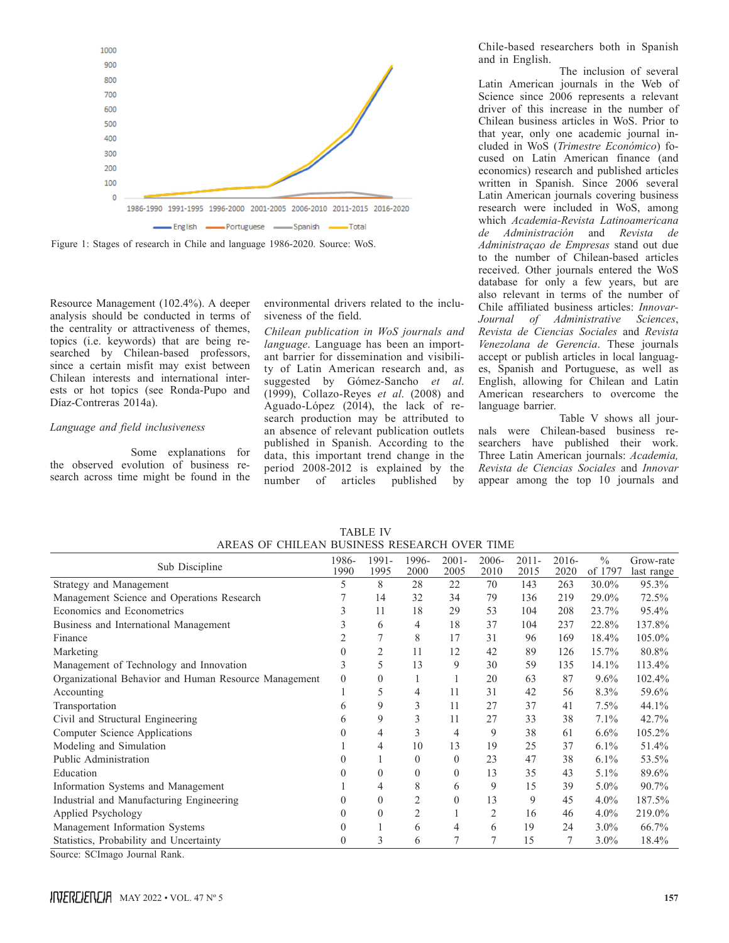

Figure 1: Stages of research in Chile and language 1986-2020. Source: WoS.

Resource Management (102.4%). A deeper analysis should be conducted in terms of the centrality or attractiveness of themes, topics (i.e. keywords) that are being researched by Chilean-based professors, since a certain misfit may exist between Chilean interests and international interests or hot topics (see Ronda-Pupo and Díaz-Contreras 2014a).

## *Language and field inclusiveness*

Some explanations for the observed evolution of business research across time might be found in the environmental drivers related to the inclusiveness of the field.

*Chilean publication in WoS journals and language*. Language has been an important barrier for dissemination and visibility of Latin American research and, as suggested by Gómez-Sancho *et al*. (1999), Collazo-Reyes *et al*. (2008) and Aguado-López (2014), the lack of research production may be attributed to an absence of relevant publication outlets published in Spanish. According to the data, this important trend change in the period 2008-2012 is explained by the number of articles published by

Chile-based researchers both in Spanish and in English.

The inclusion of several Latin American journals in the Web of Science since 2006 represents a relevant driver of this increase in the number of Chilean business articles in WoS. Prior to that year, only one academic journal included in WoS (*Trimestre Económico*) focused on Latin American finance (and economics) research and published articles written in Spanish. Since 2006 several Latin American journals covering business research were included in WoS, among which *Academia-Revista Latinoamericana de Administración* and *Revista de Administraçao de Empresas* stand out due to the number of Chilean-based articles received. Other journals entered the WoS database for only a few years, but are also relevant in terms of the number of Chile affiliated business articles: *Innovar-Journal of Administrative Sciences*, *Revista de Ciencias Sociales* and *Revista Venezolana de Gerencia*. These journals accept or publish articles in local languages, Spanish and Portuguese, as well as English, allowing for Chilean and Latin American researchers to overcome the language barrier.

Table V shows all journals were Chilean-based business researchers have published their work. Three Latin American journals: *Academia, Revista de Ciencias Sociales* and *Innovar* appear among the top 10 journals and

| Sub Discipline                                        | 1986-<br>1990 | 1991-<br>1995 | 1996-<br>2000  | $2001 -$<br>2005 | 2006-<br>2010  | $2011 -$<br>2015 | $2016-$<br>2020 | $\frac{0}{0}$<br>of 1797 | Grow-rate<br>last range |
|-------------------------------------------------------|---------------|---------------|----------------|------------------|----------------|------------------|-----------------|--------------------------|-------------------------|
| Strategy and Management                               | 5             | 8             | 28             | 22               | 70             | 143              | 263             | 30.0%                    | 95.3%                   |
| Management Science and Operations Research            |               | 14            | 32             | 34               | 79             | 136              | 219             | 29.0%                    | 72.5%                   |
| Economics and Econometrics                            | 3             | 11            | 18             | 29               | 53             | 104              | 208             | 23.7%                    | 95.4%                   |
| Business and International Management                 | 3             | 6             | 4              | 18               | 37             | 104              | 237             | 22.8%                    | 137.8%                  |
| Finance                                               |               |               | 8              | 17               | 31             | 96               | 169             | 18.4%                    | 105.0%                  |
| Marketing                                             | $\Omega$      | 2             | 11             | 12               | 42             | 89               | 126             | 15.7%                    | 80.8%                   |
| Management of Technology and Innovation               | 3             | 5             | 13             | 9                | 30             | 59               | 135             | 14.1%                    | 113.4%                  |
| Organizational Behavior and Human Resource Management | $\Omega$      | $\Omega$      |                |                  | 20             | 63               | 87              | $9.6\%$                  | 102.4%                  |
| Accounting                                            |               | 5             | 4              | 11               | 31             | 42               | 56              | 8.3%                     | 59.6%                   |
| Transportation                                        | 6             | 9             | 3              | 11               | 27             | 37               | 41              | 7.5%                     | 44.1%                   |
| Civil and Structural Engineering                      | 6             | 9             | 3              | 11               | 27             | 33               | 38              | 7.1%                     | 42.7%                   |
| Computer Science Applications                         | $\theta$      | 4             | 3              | 4                | 9              | 38               | 61              | $6.6\%$                  | 105.2%                  |
| Modeling and Simulation                               |               | 4             | 10             | 13               | 19             | 25               | 37              | 6.1%                     | 51.4%                   |
| Public Administration                                 |               |               | $\theta$       | $\theta$         | 23             | 47               | 38              | 6.1%                     | 53.5%                   |
| Education                                             |               | $\Omega$      | $\theta$       | $\theta$         | 13             | 35               | 43              | $5.1\%$                  | 89.6%                   |
| Information Systems and Management                    |               | 4             | 8              | 6                | 9              | 15               | 39              | 5.0%                     | 90.7%                   |
| Industrial and Manufacturing Engineering              | $\Omega$      | $\theta$      | $\overline{2}$ | $\theta$         | 13             | 9                | 45              | $4.0\%$                  | 187.5%                  |
| Applied Psychology                                    |               | $\theta$      | $\overline{c}$ |                  | 2              | 16               | 46              | $4.0\%$                  | 219.0%                  |
| Management Information Systems                        | $\Omega$      |               | 6              | 4                | 6              | 19               | 24              | $3.0\%$                  | 66.7%                   |
| Statistics, Probability and Uncertainty               | $\Omega$      | 3             | 6              | 7                | $\overline{7}$ | 15               | 7               | $3.0\%$                  | 18.4%                   |
| Source: SCImago Journal Rank.                         |               |               |                |                  |                |                  |                 |                          |                         |

TABLE IV AREAS OF CHILEAN BUSINESS RESEARCH OVER TIME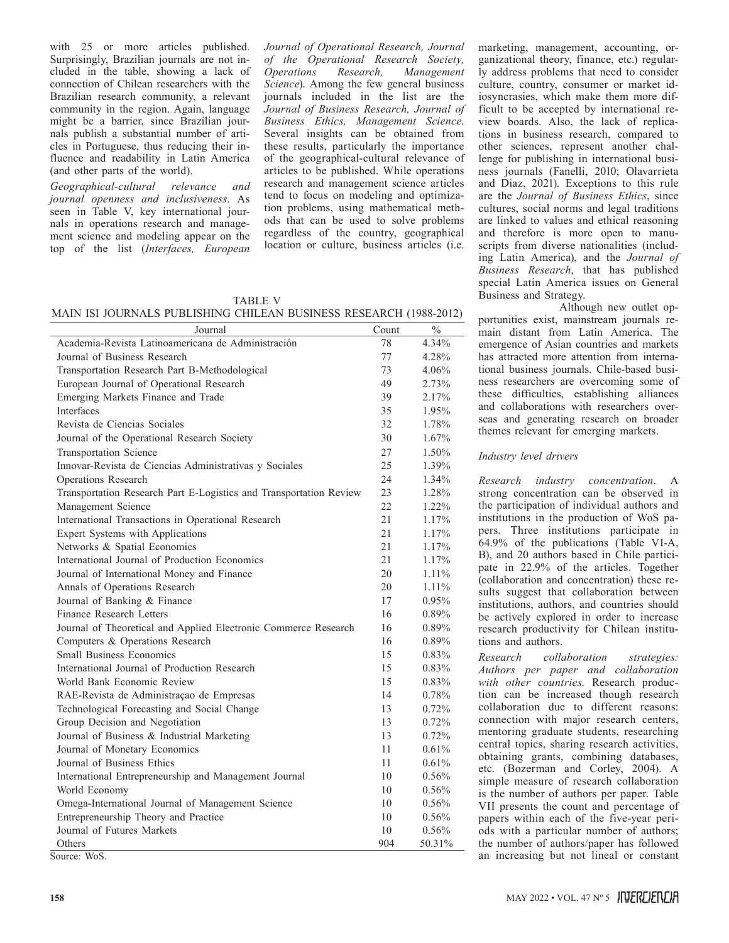with 25 or more articles published. Surprisingly, Brazilian journals are not included in the table, showing a lack of connection of Chilean researchers with the Brazilian research community, a relevant community in the region. Again, language might be a barrier, since Brazilian journals publish a substantial number of articles in Portuguese, thus reducing their influence and readability in Latin America (and other parts of the world).

*Geographical-cultural relevance and journal openness and inclusiveness*. As seen in Table V, key international journals in operations research and management science and modeling appear on the top of the list (*Interfaces, European* 

*Journal of Operational Research, Journal of the Operational Research Society, Operations Research, Management Science*). Among the few general business journals included in the list are the *Journal of Business Research, Journal of Business Ethics, Management Science*. Several insights can be obtained from these results, particularly the importance of the geographical-cultural relevance of articles to be published. While operations research and management science articles tend to focus on modeling and optimization problems, using mathematical methods that can be used to solve problems regardless of the country, geographical location or culture, business articles (i.e.

TABLE V

MAIN ISI JOURNALS PUBLISHING CHILEAN BUSINESS RESEARCH (1988-2012)

| Journal                                                            | Count | $\%$     |
|--------------------------------------------------------------------|-------|----------|
| Academia-Revista Latinoamericana de Administración                 | 78    | 4.34%    |
| Journal of Business Research                                       | 77    | 4.28%    |
| Transportation Research Part B-Methodological                      | 73    | 4.06%    |
| European Journal of Operational Research                           | 49    | 2.73%    |
| Emerging Markets Finance and Trade                                 | 39    | 2.17%    |
| Interfaces                                                         | 35    | 1.95%    |
| Revista de Ciencias Sociales                                       | 32    | 1.78%    |
| Journal of the Operational Research Society                        | 30    | 1.67%    |
| <b>Transportation Science</b>                                      | 27    | 1.50%    |
| Innovar-Revista de Ciencias Administrativas y Sociales             | 25    | 1.39%    |
| Operations Research                                                | 24    | 1.34%    |
| Transportation Research Part E-Logistics and Transportation Review | 23    | 1.28%    |
| Management Science                                                 | 22    | 1.22%    |
| International Transactions in Operational Research                 | 21    | 1.17%    |
| Expert Systems with Applications                                   | 21    | 1.17%    |
| Networks & Spatial Economics                                       | 21    | 1.17%    |
| International Journal of Production Economics                      | 21    | 1.17%    |
| Journal of International Money and Finance                         | 20    | 1.11%    |
| Annals of Operations Research                                      | 20    | 1.11%    |
| Journal of Banking & Finance                                       | 17    | 0.95%    |
| Finance Research Letters                                           | 16    | 0.89%    |
| Journal of Theoretical and Applied Electronic Commerce Research    | 16    | 0.89%    |
| Computers & Operations Research                                    | 16    | 0.89%    |
| <b>Small Business Economics</b>                                    | 15    | 0.83%    |
| International Journal of Production Research                       | 15    | 0.83%    |
| World Bank Economic Review                                         | 15    | 0.83%    |
| RAE-Revista de Administraçao de Empresas                           | 14    | 0.78%    |
| Technological Forecasting and Social Change                        | 13    | 0.72%    |
| Group Decision and Negotiation                                     | 13    | 0.72%    |
| Journal of Business & Industrial Marketing                         | 13    | 0.72%    |
| Journal of Monetary Economics                                      | 11    | 0.61%    |
| Journal of Business Ethics                                         | 11    | 0.61%    |
| International Entrepreneurship and Management Journal              | 10    | $0.56\%$ |
| World Economy                                                      | 10    | $0.56\%$ |
| Omega-International Journal of Management Science                  | 10    | 0.56%    |
| Entrepreneurship Theory and Practice                               | 10    | 0.56%    |
| Journal of Futures Markets                                         | 10    | 0.56%    |
| Others                                                             | 904   | 50.31%   |
| Source: WoS.                                                       |       |          |

marketing, management, accounting, organizational theory, finance, etc.) regularly address problems that need to consider culture, country, consumer or market idiosyncrasies, which make them more difficult to be accepted by international review boards. Also, the lack of replications in business research, compared to other sciences, represent another challenge for publishing in international business journals (Fanelli, 2010; Olavarrieta and Diaz, 2021). Exceptions to this rule are the *Journal of Business Ethics*, since cultures, social norms and legal traditions are linked to values and ethical reasoning and therefore is more open to manuscripts from diverse nationalities (including Latin America), and the *Journal of Business Research*, that has published special Latin America issues on General Business and Strategy.

Although new outlet opportunities exist, mainstream journals remain distant from Latin America. The emergence of Asian countries and markets has attracted more attention from international business journals. Chile-based business researchers are overcoming some of these difficulties, establishing alliances and collaborations with researchers overseas and generating research on broader themes relevant for emerging markets.

#### *Industry level drivers*

*Research industry concentration*. A strong concentration can be observed in the participation of individual authors and institutions in the production of WoS papers. Three institutions participate in 64.9% of the publications (Table VI-A, B), and 20 authors based in Chile participate in 22.9% of the articles. Together (collaboration and concentration) these results suggest that collaboration between institutions, authors, and countries should be actively explored in order to increase research productivity for Chilean institutions and authors.

*Research collaboration strategies: Authors per paper and collaboration with other countries*. Research production can be increased though research collaboration due to different reasons: connection with major research centers, mentoring graduate students, researching central topics, sharing research activities, obtaining grants, combining databases, etc. (Bozerman and Corley, 2004). A simple measure of research collaboration is the number of authors per paper. Table VII presents the count and percentage of papers within each of the five-year periods with a particular number of authors; the number of authors/paper has followed an increasing but not lineal or constant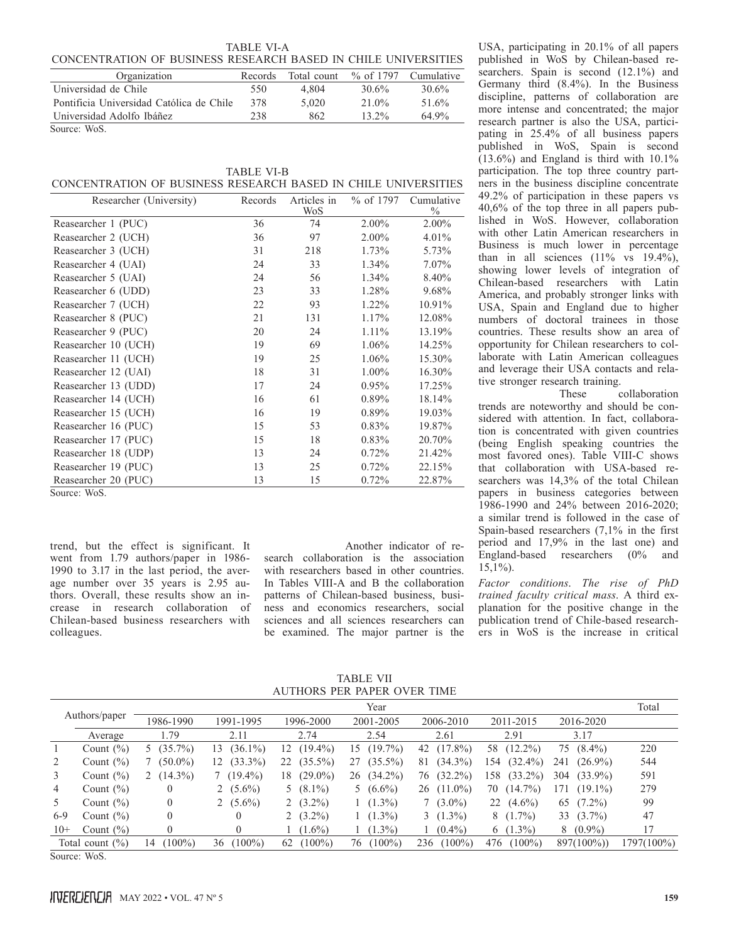|                                                                | TABLE VI-A |  |  |
|----------------------------------------------------------------|------------|--|--|
| CONCENTRATION OF BUSINESS RESEARCH BASED IN CHILE UNIVERSITIES |            |  |  |

| Organization                             | Records | Total count | % of 1797 | Cumulative |
|------------------------------------------|---------|-------------|-----------|------------|
| Universidad de Chile                     | 550     | 4.804       | 30.6%     | 30.6%      |
| Pontificia Universidad Católica de Chile | 378     | 5.020       | 21.0%     | 51.6%      |
| Universidad Adolfo Ibáñez                | 238     | 862         | $13.2\%$  | 649%       |
| Source: WoS.                             |         |             |           |            |

|                                                                | <b>TABLE VI-B</b> |  |  |
|----------------------------------------------------------------|-------------------|--|--|
| CONCENTRATION OF BUSINESS RESEARCH BASED IN CHILE UNIVERSITIES |                   |  |  |

| Researcher (University) | Records | Articles in<br>WoS | % of $1797$ | Cumulative<br>$\%$ |
|-------------------------|---------|--------------------|-------------|--------------------|
| Reasearcher 1 (PUC)     | 36      | 74                 | 2.00%       | 2.00%              |
| Reasearcher 2 (UCH)     | 36      | 97                 | 2.00%       | 4.01%              |
| Reasearcher 3 (UCH)     | 31      | 218                | 1.73%       | 5.73%              |
| Reasearcher 4 (UAI)     | 24      | 33                 | 1.34%       | 7.07%              |
| Reasearcher 5 (UAI)     | 24      | 56                 | 1.34%       | 8.40%              |
| Reasearcher 6 (UDD)     | 23      | 33                 | 1.28%       | 9.68%              |
| Reasearcher 7 (UCH)     | 22      | 93                 | 1.22%       | 10.91%             |
| Reasearcher 8 (PUC)     | 21      | 131                | 1.17%       | 12.08%             |
| Reasearcher 9 (PUC)     | 20      | 24                 | 1.11%       | 13.19%             |
| Reasearcher 10 (UCH)    | 19      | 69                 | 1.06%       | 14.25%             |
| Reasearcher 11 (UCH)    | 19      | 25                 | 1.06%       | 15.30%             |
| Reasearcher 12 (UAI)    | 18      | 31                 | 1.00%       | 16.30%             |
| Reasearcher 13 (UDD)    | 17      | 24                 | 0.95%       | 17.25%             |
| Reasearcher 14 (UCH)    | 16      | 61                 | $0.89\%$    | 18.14%             |
| Reasearcher 15 (UCH)    | 16      | 19                 | 0.89%       | 19.03%             |
| Reasearcher 16 (PUC)    | 15      | 53                 | 0.83%       | 19.87%             |
| Reasearcher 17 (PUC)    | 15      | 18                 | 0.83%       | 20.70%             |
| Reasearcher 18 (UDP)    | 13      | 24                 | 0.72%       | 21.42%             |
| Reasearcher 19 (PUC)    | 13      | 25                 | 0.72%       | 22.15%             |
| Reasearcher 20 (PUC)    | 13      | 15                 | 0.72%       | 22.87%             |

Source: WoS.

trend, but the effect is significant. It went from 1.79 authors/paper in 1986- 1990 to 3.17 in the last period, the average number over 35 years is 2.95 authors. Overall, these results show an increase in research collaboration of Chilean-based business researchers with colleagues.

Another indicator of research collaboration is the association with researchers based in other countries. In Tables VIII-A and B the collaboration patterns of Chilean-based business, business and economics researchers, social sciences and all sciences researchers can be examined. The major partner is the

USA, participating in 20.1% of all papers published in WoS by Chilean-based researchers. Spain is second  $(12.1\%)$  and Germany third (8.4%). In the Business discipline, patterns of collaboration are more intense and concentrated; the major research partner is also the USA, participating in 25.4% of all business papers published in WoS, Spain is second  $(13.6\%)$  and England is third with  $10.1\%$ participation. The top three country partners in the business discipline concentrate 49.2% of participation in these papers vs 40,6% of the top three in all papers published in WoS. However, collaboration with other Latin American researchers in Business is much lower in percentage than in all sciences  $(11\%$  vs  $19.4\%$ ), showing lower levels of integration of Chilean-based researchers with Latin America, and probably stronger links with USA, Spain and England due to higher numbers of doctoral trainees in those countries. These results show an area of opportunity for Chilean researchers to collaborate with Latin American colleagues and leverage their USA contacts and rela-

tive stronger research training.<br>These collaboration trends are noteworthy and should be considered with attention. In fact, collaboration is concentrated with given countries (being English speaking countries the most favored ones). Table VIII-C shows that collaboration with USA-based researchers was 14,3% of the total Chilean papers in business categories between 1986-1990 and 24% between 2016-2020; a similar trend is followed in the case of Spain-based researchers (7,1% in the first period and 17,9% in the last one) and England-based researchers (0% and  $15.1\%$ ).

*Factor conditions*. *The rise of PhD trained faculty critical mass*. A third explanation for the positive change in the publication trend of Chile-based researchers in WoS is the increase in critical

TABLE VII AUTHORS PER PAPER OVER TIME

|                |                     | Year            |                  |                  |                  |                  |                   |                   |            |  |
|----------------|---------------------|-----------------|------------------|------------------|------------------|------------------|-------------------|-------------------|------------|--|
| Authors/paper  |                     | 1986-1990       | 1991-1995        | 1996-2000        | 2001-2005        | 2006-2010        | 2011-2015         | 2016-2020         |            |  |
|                | Average             | 1.79            | 2.11             | 2.74             | 2.54             | 2.61             | 2.91              | 3.17              |            |  |
|                | Count $(\% )$       | $(35.7\%)$      | $(36.1\%)$<br>13 | $(19.4\%)$<br>2  | $(19.7\%)$<br>15 | $(17.8\%)$<br>42 | $(12.2\%)$<br>58  | $(8.4\%)$<br>75   | 220        |  |
| 2              | Count $(\% )$       | $(50.0\%)$      | $(33.3\%)$<br>12 | $(35.5\%)$<br>22 | $(35.5\%)$<br>27 | $(34.3\%)$<br>81 | $(32.4\%)$<br>154 | $(26.9\%)$<br>241 | 544        |  |
| 3              | Count $(\% )$       | $(14.3\%)$      | $7(19.4\%)$      | $(29.0\%)$<br>18 | $(34.2\%)$<br>26 | $(32.2\%)$<br>76 | $(33.2\%)$<br>158 | $(33.9\%)$<br>304 | 591        |  |
| $\overline{4}$ | Count $(\% )$       |                 | 2 $(5.6\%)$      | 5 $(8.1\%)$      | 5 $(6.6\%)$      | $26(11.0\%)$     | $(14.7\%)$<br>70  | 171<br>$(19.1\%)$ | 279        |  |
| 5              | Count $(\% )$       |                 | 2 $(5.6\%)$      | 2 $(3.2\%)$      | $(1.3\%)$        | $7(3.0\%)$       | $(4.6\%)$<br>22   | $(7.2\%)$<br>65   | 99         |  |
| $6-9$          | Count $(\% )$       | 0               | $\Omega$         | 2 $(3.2\%)$      | $(1.3\%)$        | $3(1.3\%)$       | $8(1.7\%)$        | 33 $(3.7\%)$      | 47         |  |
| $10+$          | Count $(\% )$       |                 | $\overline{0}$   | $(1.6\%)$        | $(1.3\%)$        | $(0.4\%)$        | 6 $(1.3\%)$       | $8(0.9\%)$        | 17         |  |
|                | Total count $(\% )$ | $(100\%)$<br>14 | $100\%$<br>36    | $100\%$<br>62    | $(100\%)$<br>76  | $(100\%)$<br>236 | $(100\%)$<br>476  | $897(100\%)$      | 1797(100%) |  |

Source: WoS.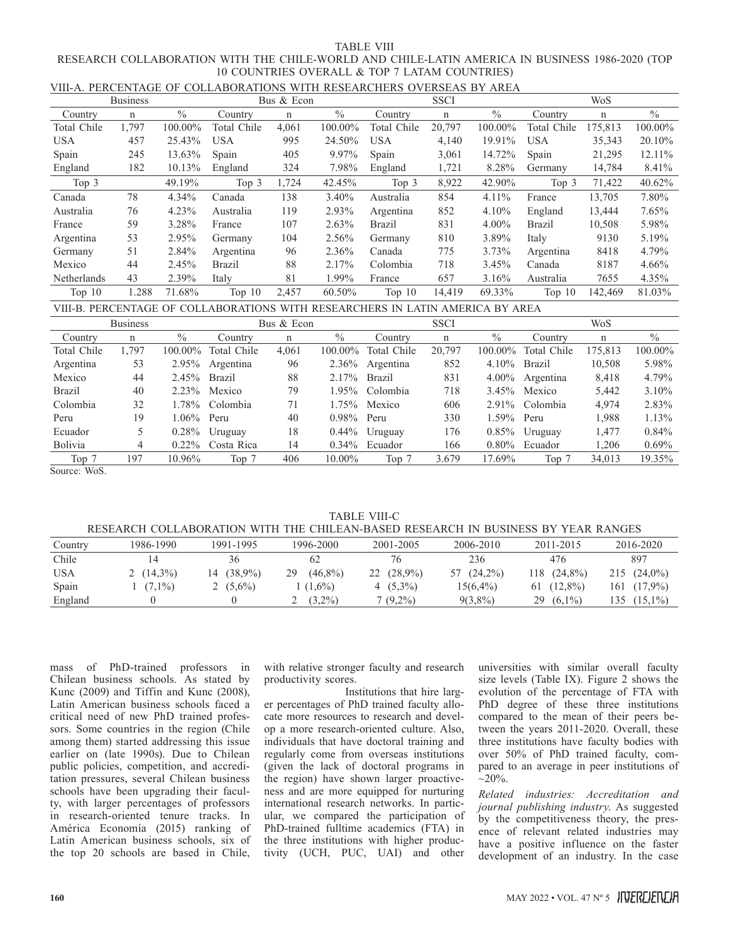#### TABLE VIII RESEARCH COLLABORATION WITH THE CHILE-WORLD AND CHILE-LATIN AMERICA IN BUSINESS 1986-2020 (TOP 10 COUNTRIES OVERALL & TOP 7 LATAM COUNTRIES) VIII-A. PERCENTAGE OF COLLABORATIONS WITH RESEARCHERS OVERSEAS BY AREA

|             | VIII-A. PERUENTAUE UP UULLADURAITUNS.<br>WITH NESEANCHENS OVENSEAS DT ANEA |               |             |            |          |               |        |               |               |         |          |  |
|-------------|----------------------------------------------------------------------------|---------------|-------------|------------|----------|---------------|--------|---------------|---------------|---------|----------|--|
|             | <b>Business</b>                                                            |               |             | Bus & Econ |          | <b>SSCI</b>   |        |               | <b>WoS</b>    |         |          |  |
| Country     | n                                                                          | $\frac{0}{0}$ | Country     | n          | $\%$     | Country       | n      | $\frac{0}{0}$ | Country       | n       | $\%$     |  |
| Total Chile | 1.797                                                                      | 100.00%       | Total Chile | 4,061      | 100.00%  | Total Chile   | 20,797 | 100.00%       | Total Chile   | 175.813 | 100.00%  |  |
| <b>USA</b>  | 457                                                                        | 25.43%        | <b>USA</b>  | 995        | 24.50%   | <b>USA</b>    | 4,140  | 19.91%        | <b>USA</b>    | 35,343  | 20.10%   |  |
| Spain       | 245                                                                        | 13.63%        | Spain       | 405        | 9.97%    | Spain         | 3,061  | 14.72%        | Spain         | 21,295  | 12.11%   |  |
| England     | 182                                                                        | 10.13%        | England     | 324        | 7.98%    | England       | 1,721  | 8.28%         | Germany       | 14,784  | 8.41%    |  |
| Top 3       |                                                                            | 49.19%        | Top 3       | 1,724      | 42.45%   | Top 3         | 8,922  | 42.90%        | Top 3         | 71,422  | 40.62%   |  |
| Canada      | 78                                                                         | 4.34%         | Canada      | 138        | 3.40%    | Australia     | 854    | $4.11\%$      | France        | 13,705  | 7.80%    |  |
| Australia   | 76                                                                         | 4.23%         | Australia   | 119        | 2.93%    | Argentina     | 852    | $4.10\%$      | England       | 13,444  | $7.65\%$ |  |
| France      | 59                                                                         | 3.28%         | France      | 107        | $2.63\%$ | <b>Brazil</b> | 831    | $4.00\%$      | <b>Brazil</b> | 10,508  | 5.98%    |  |
| Argentina   | 53                                                                         | 2.95%         | Germany     | 104        | 2.56%    | Germany       | 810    | 3.89%         | Italy         | 9130    | 5.19%    |  |
| Germany     | 51                                                                         | 2.84%         | Argentina   | 96         | 2.36%    | Canada        | 775    | $3.73\%$      | Argentina     | 8418    | 4.79%    |  |
| Mexico      | 44                                                                         | 2.45%         | Brazil      | 88         | 2.17%    | Colombia      | 718    | 3.45%         | Canada        | 8187    | 4.66%    |  |
| Netherlands | 43                                                                         | 2.39%         | Italy       | 81         | 1.99%    | France        | 657    | 3.16%         | Australia     | 7655    | 4.35%    |  |
| Top $10$    | 1.288                                                                      | 71.68%        | Top $10$    | 2.457      | 60.50%   | Top $10$      | 14.419 | 69.33%        | Top $10$      | 142.469 | 81.03%   |  |

VIII-B. PERCENTAGE OF COLLABORATIONS WITH RESEARCHERS IN LATIN AMERICA BY AREA

|             | <b>Business</b> |            |             | Bus & Econ |               |                  | <b>SSCI</b> |            |                 | WoS     |          |
|-------------|-----------------|------------|-------------|------------|---------------|------------------|-------------|------------|-----------------|---------|----------|
| Country     | n               | $\%$       | Country     | n          | $\%$          | Country          | n           | $\%$       | Country         | n       | $\%$     |
| Total Chile | 1,797           | $100.00\%$ | Total Chile | 4,061      | 100.00%       | Total Chile      | 20,797      | $100.00\%$ | Total Chile     | 175,813 | 100.00%  |
| Argentina   | 53              | 2.95%      | Argentina   | 96         | 2.36%         | Argentina        | 852         | $4.10\%$   | Brazil          | 10,508  | 5.98%    |
| Mexico      | 44              | 2.45%      | Brazil      | 88         | $2.17\%$      | <b>Brazil</b>    | 831         | $4.00\%$   | Argentina       | 8,418   | 4.79%    |
| Brazil      | 40              | $2.23\%$   | Mexico      | 79         | $1.95\%$      | Colombia         | 718         |            | $3.45\%$ Mexico | 5,442   | $3.10\%$ |
| Colombia    | 32              | 1.78%      | Colombia    | 71         | $1.75\%$      | Mexico           | 606         | $2.91\%$   | Colombia        | 4.974   | 2.83%    |
| Peru        | 19              | $1.06\%$   | Peru        | 40         | $0.98\%$ Peru |                  | 330         | 1.59% Peru |                 | 1.988   | $1.13\%$ |
| Ecuador     | 5               | $0.28\%$   | Uruguay     | 18         |               | $0.44\%$ Uruguay | 176         | $0.85\%$   | Uruguay         | 1.477   | 0.84%    |
| Bolivia     | 4               | $0.22\%$   | Costa Rica  | 14         | $0.34\%$      | Ecuador          | 166         | $0.80\%$   | Ecuador         | 1.206   | 0.69%    |
| Top 7       | 197             | 10.96%     | Top 7       | 406        | $10.00\%$     | Top 7            | 3.679       | 17.69%     | Top 7           | 34,013  | 19.35%   |

Source: WoS.

TABLE VIII-C

|  | RESEARCH COLLABORATION WITH THE CHILEAN-BASED RESEARCH IN BUSINESS BY YEAR RANGES |
|--|-----------------------------------------------------------------------------------|
|  |                                                                                   |

| Country    | 1986-1990    | 1991-1995        | 1996-2000        | 2001-2005    | 2006-2010        | 2011-2015        | 2016-2020         |
|------------|--------------|------------------|------------------|--------------|------------------|------------------|-------------------|
| Chile      |              | 36               |                  |              | 236              | 476              | 897               |
| <b>USA</b> | 2 $(14.3\%)$ | $(38.9\%)$<br>14 | $(46,8\%)$<br>29 | $22(28,9\%)$ | $(24.2\%)$<br>57 | $118(24,8\%)$    | $215(24.0\%)$     |
| Spain      | $(7.1\%)$    | 2 $(5.6\%)$      | $(1.6\%)$        | 4 $(5.3\%)$  | 15(6,4%)         | $(12,8\%)$<br>61 | 161 (17,9%)       |
| England    |              |                  | $(3.2\%)$        | $7(9,2\%)$   | $9(3,8\%)$       | 29 $(6.1\%)$     | $(15,1\%)$<br>135 |

mass of PhD-trained professors in Chilean business schools. As stated by Kunc (2009) and Tiffin and Kunc (2008), Latin American business schools faced a critical need of new PhD trained professors. Some countries in the region (Chile among them) started addressing this issue earlier on (late 1990s). Due to Chilean public policies, competition, and accreditation pressures, several Chilean business schools have been upgrading their faculty, with larger percentages of professors in research-oriented tenure tracks. In América Economía (2015) ranking of Latin American business schools, six of the top 20 schools are based in Chile,

with relative stronger faculty and research productivity scores.

Institutions that hire larger percentages of PhD trained faculty allocate more resources to research and develop a more research-oriented culture. Also, individuals that have doctoral training and regularly come from overseas institutions (given the lack of doctoral programs in the region) have shown larger proactiveness and are more equipped for nurturing international research networks. In particular, we compared the participation of PhD-trained fulltime academics (FTA) in the three institutions with higher productivity (UCH, PUC, UAI) and other

universities with similar overall faculty size levels (Table IX). Figure 2 shows the evolution of the percentage of FTA with PhD degree of these three institutions compared to the mean of their peers between the years 2011-2020. Overall, these three institutions have faculty bodies with over 50% of PhD trained faculty, compared to an average in peer institutions of  $~20\%$ .

*Related industries: Accreditation and journal publishing industry*. As suggested by the competitiveness theory, the presence of relevant related industries may have a positive influence on the faster development of an industry. In the case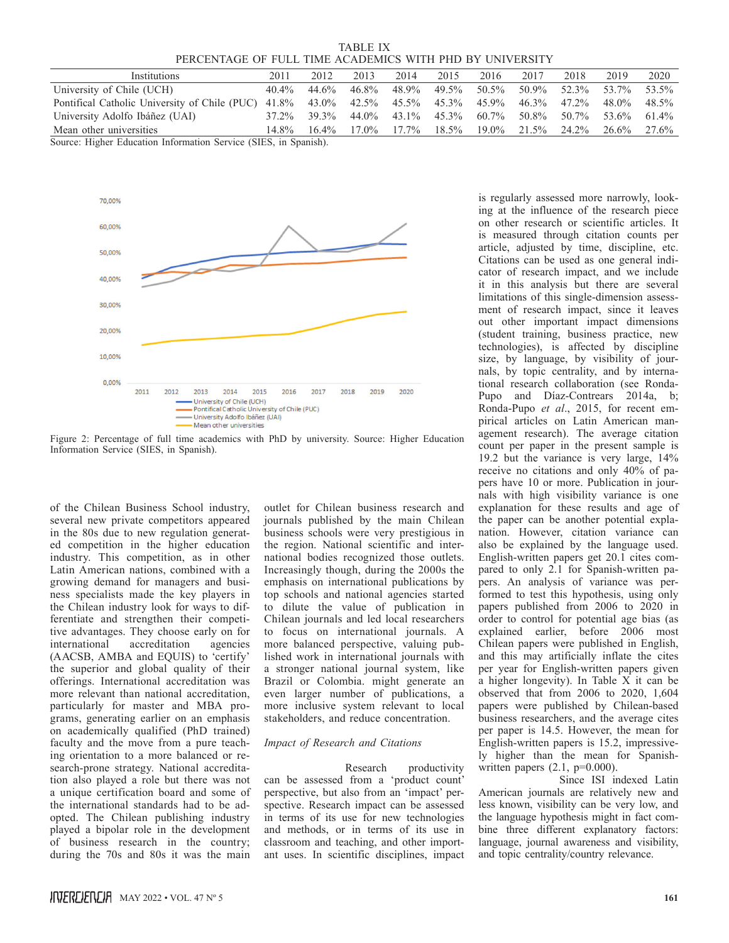TABLE IX PERCENTAGE OF FULL TIME ACADEMICS WITH PHD BY UNIVERSITY

| Institutions                                                                                  | 2011     | 2012        | 2013  | 2014              | 2015 | 2016 | 2017 | 2018                                             | 2019        | 2020     |
|-----------------------------------------------------------------------------------------------|----------|-------------|-------|-------------------|------|------|------|--------------------------------------------------|-------------|----------|
| University of Chile (UCH)                                                                     | $40.4\%$ | 44.6%       | 46.8% | 48.9%             |      |      |      | 49.5% 50.5% 50.9% 52.3% 53.7%                    |             | 53.5%    |
| Pontifical Catholic University of Chile (PUC) 41.8% 43.0% 42.5% 45.5% 45.3% 45.9% 46.3% 47.2% |          |             |       |                   |      |      |      |                                                  | 48.0%       | 48.5%    |
| University Adolfo Ibáñez (UAI)                                                                |          | 37.2% 39.3% |       |                   |      |      |      | 44.0\% 43.1\% 45.3\% 60.7\% 50.8\% 50.7\% 53.6\% |             | $61.4\%$ |
| Mean other universities                                                                       | 14.8%    | $16.4\%$    |       | $17.0\%$ $17.7\%$ |      |      |      | $18.5\%$ $19.0\%$ $21.5\%$ $24.2\%$              | 26.6% 27.6% |          |

Source: Higher Education Information Service (SIES, in Spanish).



Figure 2: Percentage of full time academics with PhD by university. Source: Higher Education Information Service (SIES, in Spanish).

of the Chilean Business School industry, several new private competitors appeared in the 80s due to new regulation generated competition in the higher education industry. This competition, as in other Latin American nations, combined with a growing demand for managers and business specialists made the key players in the Chilean industry look for ways to differentiate and strengthen their competitive advantages. They choose early on for international accreditation agencies (AACSB, AMBA and EQUIS) to 'certify' the superior and global quality of their offerings. International accreditation was more relevant than national accreditation, particularly for master and MBA programs, generating earlier on an emphasis on academically qualified (PhD trained) faculty and the move from a pure teaching orientation to a more balanced or research-prone strategy. National accreditation also played a role but there was not a unique certification board and some of the international standards had to be adopted. The Chilean publishing industry played a bipolar role in the development of business research in the country; during the 70s and 80s it was the main

outlet for Chilean business research and journals published by the main Chilean business schools were very prestigious in the region. National scientific and international bodies recognized those outlets. Increasingly though, during the 2000s the emphasis on international publications by top schools and national agencies started to dilute the value of publication in Chilean journals and led local researchers to focus on international journals. A more balanced perspective, valuing published work in international journals with a stronger national journal system, like Brazil or Colombia. might generate an even larger number of publications, a more inclusive system relevant to local stakeholders, and reduce concentration.

#### *Impact of Research and Citations*

Research productivity can be assessed from a 'product count' perspective, but also from an 'impact' perspective. Research impact can be assessed in terms of its use for new technologies and methods, or in terms of its use in classroom and teaching, and other important uses. In scientific disciplines, impact

is regularly assessed more narrowly, looking at the influence of the research piece on other research or scientific articles. It is measured through citation counts per article, adjusted by time, discipline, etc. Citations can be used as one general indicator of research impact, and we include it in this analysis but there are several limitations of this single-dimension assessment of research impact, since it leaves out other important impact dimensions (student training, business practice, new technologies), is affected by discipline size, by language, by visibility of journals, by topic centrality, and by international research collaboration (see Ronda-Pupo and Díaz-Contrears 2014a, b; Ronda-Pupo *et al*., 2015, for recent empirical articles on Latin American management research). The average citation count per paper in the present sample is 19.2 but the variance is very large, 14% receive no citations and only 40% of papers have 10 or more. Publication in journals with high visibility variance is one explanation for these results and age of the paper can be another potential explanation. However, citation variance can also be explained by the language used. English-written papers get 20.1 cites compared to only 2.1 for Spanish-written papers. An analysis of variance was performed to test this hypothesis, using only papers published from 2006 to 2020 in order to control for potential age bias (as explained earlier, before 2006 most Chilean papers were published in English, and this may artificially inflate the cites per year for English-written papers given a higher longevity). In Table X it can be observed that from 2006 to 2020, 1,604 papers were published by Chilean-based business researchers, and the average cites per paper is 14.5. However, the mean for English-written papers is 15.2, impressively higher than the mean for Spanishwritten papers  $(2.1, p=0.000)$ .

Since ISI indexed Latin American journals are relatively new and less known, visibility can be very low, and the language hypothesis might in fact combine three different explanatory factors: language, journal awareness and visibility, and topic centrality/country relevance.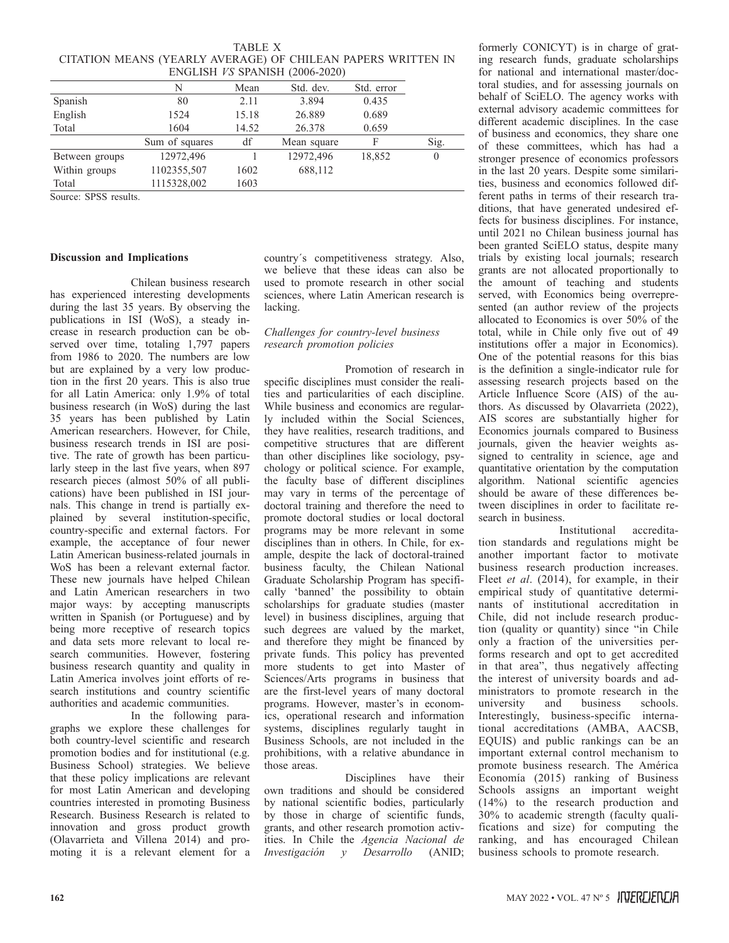|                                |                                                              | $1$ ADLE $\lambda$ |             |            |      |  |  |  |  |  |
|--------------------------------|--------------------------------------------------------------|--------------------|-------------|------------|------|--|--|--|--|--|
|                                | CITATION MEANS (YEARLY AVERAGE) OF CHILEAN PAPERS WRITTEN IN |                    |             |            |      |  |  |  |  |  |
| ENGLISH VS SPANISH (2006-2020) |                                                              |                    |             |            |      |  |  |  |  |  |
|                                |                                                              | Mean               | Std. dev.   | Std. error |      |  |  |  |  |  |
| Spanish                        | 80                                                           | 2.11               | 3.894       | 0.435      |      |  |  |  |  |  |
| English                        | 1524                                                         | 15.18              | 26.889      | 0.689      |      |  |  |  |  |  |
| Total                          | 1604                                                         | 14.52              | 26.378      | 0.659      |      |  |  |  |  |  |
|                                | Sum of squares                                               | df                 | Mean square | F          | Sig. |  |  |  |  |  |

Between groups 12972,496 12972,496 18,852 0

Within groups 1102355,507 1602 688,112

Total 1115328,002 1603

TABLE X

Source: SPSS results.

#### **Discussion and Implications**

Chilean business research has experienced interesting developments during the last 35 years. By observing the publications in ISI (WoS), a steady increase in research production can be observed over time, totaling 1,797 papers from 1986 to 2020. The numbers are low but are explained by a very low production in the first 20 years. This is also true for all Latin America: only 1.9% of total business research (in WoS) during the last 35 years has been published by Latin American researchers. However, for Chile, business research trends in ISI are positive. The rate of growth has been particularly steep in the last five years, when 897 research pieces (almost 50% of all publications) have been published in ISI journals. This change in trend is partially explained by several institution-specific, country-specific and external factors. For example, the acceptance of four newer Latin American business-related journals in WoS has been a relevant external factor. These new journals have helped Chilean and Latin American researchers in two major ways: by accepting manuscripts written in Spanish (or Portuguese) and by being more receptive of research topics and data sets more relevant to local research communities. However, fostering business research quantity and quality in Latin America involves joint efforts of research institutions and country scientific authorities and academic communities.

In the following paragraphs we explore these challenges for both country-level scientific and research promotion bodies and for institutional (e.g. Business School) strategies. We believe that these policy implications are relevant for most Latin American and developing countries interested in promoting Business Research. Business Research is related to innovation and gross product growth (Olavarrieta and Villena 2014) and promoting it is a relevant element for a country´s competitiveness strategy. Also, we believe that these ideas can also be used to promote research in other social sciences, where Latin American research is lacking.

## *Challenges for country-level business research promotion policies*

Promotion of research in specific disciplines must consider the realities and particularities of each discipline. While business and economics are regularly included within the Social Sciences, they have realities, research traditions, and competitive structures that are different than other disciplines like sociology, psychology or political science. For example, the faculty base of different disciplines may vary in terms of the percentage of doctoral training and therefore the need to promote doctoral studies or local doctoral programs may be more relevant in some disciplines than in others. In Chile, for example, despite the lack of doctoral-trained business faculty, the Chilean National Graduate Scholarship Program has specifically 'banned' the possibility to obtain scholarships for graduate studies (master level) in business disciplines, arguing that such degrees are valued by the market, and therefore they might be financed by private funds. This policy has prevented more students to get into Master of Sciences/Arts programs in business that are the first-level years of many doctoral programs. However, master's in economics, operational research and information systems, disciplines regularly taught in Business Schools, are not included in the prohibitions, with a relative abundance in those areas.

Disciplines have their own traditions and should be considered by national scientific bodies, particularly by those in charge of scientific funds, grants, and other research promotion activities. In Chile the *Agencia Nacional de Investigación y Desarrollo* (ANID;

formerly CONICYT) is in charge of grating research funds, graduate scholarships for national and international master/doctoral studies, and for assessing journals on behalf of SciELO. The agency works with external advisory academic committees for different academic disciplines. In the case of business and economics, they share one of these committees, which has had a stronger presence of economics professors in the last 20 years. Despite some similarities, business and economics followed different paths in terms of their research traditions, that have generated undesired effects for business disciplines. For instance, until 2021 no Chilean business journal has been granted SciELO status, despite many trials by existing local journals; research grants are not allocated proportionally to the amount of teaching and students served, with Economics being overrepresented (an author review of the projects allocated to Economics is over 50% of the total, while in Chile only five out of 49 institutions offer a major in Economics). One of the potential reasons for this bias is the definition a single-indicator rule for assessing research projects based on the Article Influence Score (AIS) of the authors. As discussed by Olavarrieta (2022), AIS scores are substantially higher for Economics journals compared to Business journals, given the heavier weights assigned to centrality in science, age and quantitative orientation by the computation algorithm. National scientific agencies should be aware of these differences between disciplines in order to facilitate research in business.

Institutional accreditation standards and regulations might be another important factor to motivate business research production increases. Fleet *et al*. (2014), for example, in their empirical study of quantitative determinants of institutional accreditation in Chile, did not include research production (quality or quantity) since "in Chile only a fraction of the universities performs research and opt to get accredited in that area", thus negatively affecting the interest of university boards and administrators to promote research in the<br>university and business schools. university and business schools. Interestingly, business-specific international accreditations (AMBA, AACSB, EQUIS) and public rankings can be an important external control mechanism to promote business research. The América Economía (2015) ranking of Business Schools assigns an important weight (14%) to the research production and 30% to academic strength (faculty qualifications and size) for computing the ranking, and has encouraged Chilean business schools to promote research.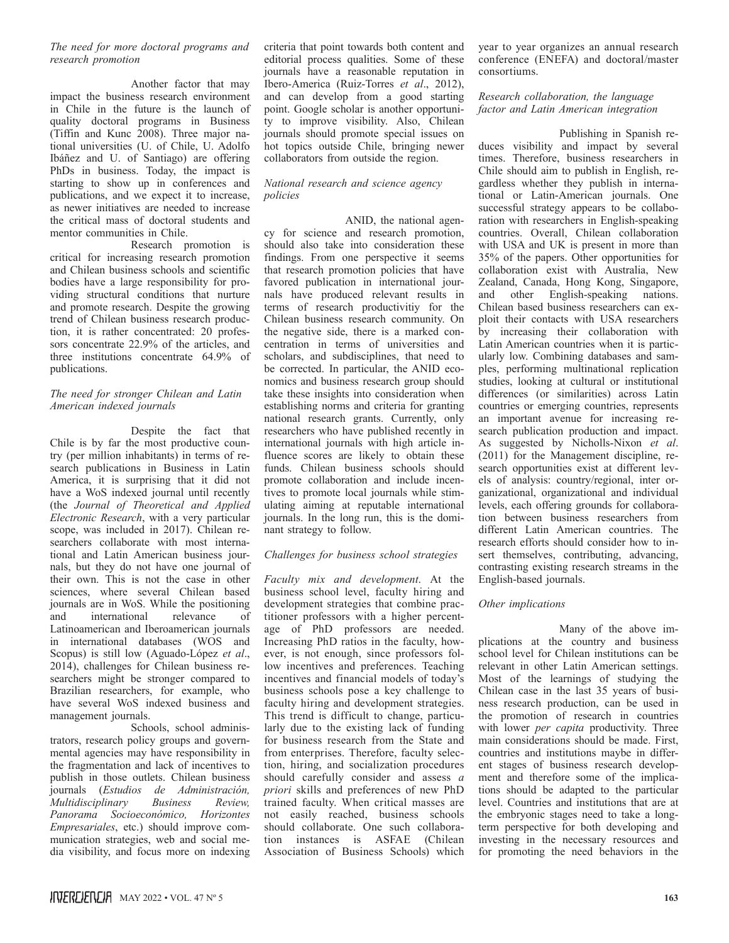## *The need for more doctoral programs and research promotion*

Another factor that may impact the business research environment in Chile in the future is the launch of quality doctoral programs in Business (Tiffin and Kunc 2008). Three major national universities (U. of Chile, U. Adolfo Ibáñez and U. of Santiago) are offering PhDs in business. Today, the impact is starting to show up in conferences and publications, and we expect it to increase, as newer initiatives are needed to increase the critical mass of doctoral students and mentor communities in Chile.

Research promotion is critical for increasing research promotion and Chilean business schools and scientific bodies have a large responsibility for providing structural conditions that nurture and promote research. Despite the growing trend of Chilean business research production, it is rather concentrated: 20 professors concentrate 22.9% of the articles, and three institutions concentrate 64.9% of publications.

## *The need for stronger Chilean and Latin American indexed journals*

Despite the fact that Chile is by far the most productive country (per million inhabitants) in terms of research publications in Business in Latin America, it is surprising that it did not have a WoS indexed journal until recently (the *Journal of Theoretical and Applied Electronic Research*, with a very particular scope, was included in 2017). Chilean researchers collaborate with most international and Latin American business journals, but they do not have one journal of their own. This is not the case in other sciences, where several Chilean based journals are in WoS. While the positioning and international relevance of Latinoamerican and Iberoamerican journals in international databases (WOS and Scopus) is still low (Aguado-López *et al*., 2014), challenges for Chilean business researchers might be stronger compared to Brazilian researchers, for example, who have several WoS indexed business and management journals.

Schools, school administrators, research policy groups and governmental agencies may have responsibility in the fragmentation and lack of incentives to publish in those outlets. Chilean business journals (*Estudios de Administración, Multidisciplinary Business Review, Panorama Socioeconómico, Horizontes Empresariales*, etc.) should improve communication strategies, web and social media visibility, and focus more on indexing criteria that point towards both content and editorial process qualities. Some of these journals have a reasonable reputation in Ibero-America (Ruiz-Torres *et al*., 2012), and can develop from a good starting point. Google scholar is another opportunity to improve visibility. Also, Chilean journals should promote special issues on hot topics outside Chile, bringing newer collaborators from outside the region.

## *National research and science agency policies*

ANID, the national agency for science and research promotion, should also take into consideration these findings. From one perspective it seems that research promotion policies that have favored publication in international journals have produced relevant results in terms of research productivitiy for the Chilean business research community. On the negative side, there is a marked concentration in terms of universities and scholars, and subdisciplines, that need to be corrected. In particular, the ANID economics and business research group should take these insights into consideration when establishing norms and criteria for granting national research grants. Currently, only researchers who have published recently in international journals with high article influence scores are likely to obtain these funds. Chilean business schools should promote collaboration and include incentives to promote local journals while stimulating aiming at reputable international journals. In the long run, this is the dominant strategy to follow.

## *Challenges for business school strategies*

*Faculty mix and development*. At the business school level, faculty hiring and development strategies that combine practitioner professors with a higher percentage of PhD professors are needed. Increasing PhD ratios in the faculty, however, is not enough, since professors follow incentives and preferences. Teaching incentives and financial models of today's business schools pose a key challenge to faculty hiring and development strategies. This trend is difficult to change, particularly due to the existing lack of funding for business research from the State and from enterprises. Therefore, faculty selection, hiring, and socialization procedures should carefully consider and assess *a priori* skills and preferences of new PhD trained faculty. When critical masses are not easily reached, business schools should collaborate. One such collaboration instances is ASFAE (Chilean Association of Business Schools) which

year to year organizes an annual research conference (ENEFA) and doctoral/master consortiums.

## *Research collaboration, the language factor and Latin American integration*

Publishing in Spanish reduces visibility and impact by several times. Therefore, business researchers in Chile should aim to publish in English, regardless whether they publish in international or Latin-American journals. One successful strategy appears to be collaboration with researchers in English-speaking countries. Overall, Chilean collaboration with USA and UK is present in more than 35% of the papers. Other opportunities for collaboration exist with Australia, New Zealand, Canada, Hong Kong, Singapore, and other English-speaking nations. Chilean based business researchers can exploit their contacts with USA researchers by increasing their collaboration with Latin American countries when it is particularly low. Combining databases and samples, performing multinational replication studies, looking at cultural or institutional differences (or similarities) across Latin countries or emerging countries, represents an important avenue for increasing research publication production and impact. As suggested by Nicholls-Nixon *et al*. (2011) for the Management discipline, research opportunities exist at different levels of analysis: country/regional, inter organizational, organizational and individual levels, each offering grounds for collaboration between business researchers from different Latin American countries. The research efforts should consider how to insert themselves, contributing, advancing, contrasting existing research streams in the English-based journals.

## *Other implications*

Many of the above implications at the country and business school level for Chilean institutions can be relevant in other Latin American settings. Most of the learnings of studying the Chilean case in the last 35 years of business research production, can be used in the promotion of research in countries with lower *per capita* productivity. Three main considerations should be made. First, countries and institutions maybe in different stages of business research development and therefore some of the implications should be adapted to the particular level. Countries and institutions that are at the embryonic stages need to take a longterm perspective for both developing and investing in the necessary resources and for promoting the need behaviors in the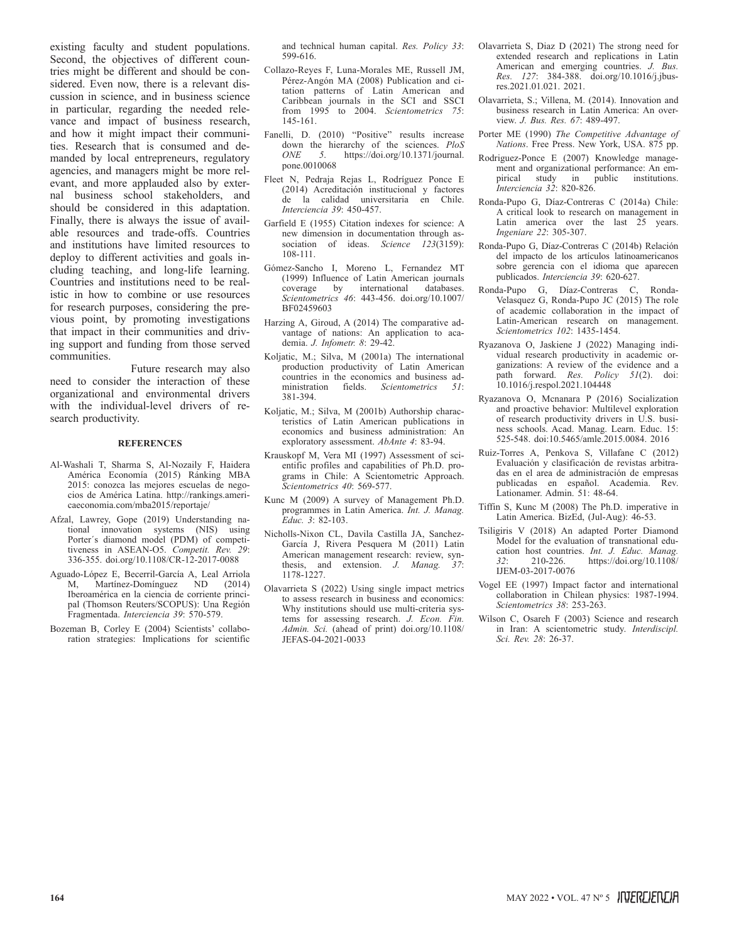existing faculty and student populations. Second, the objectives of different countries might be different and should be considered. Even now, there is a relevant discussion in science, and in business science in particular, regarding the needed relevance and impact of business research, and how it might impact their communities. Research that is consumed and demanded by local entrepreneurs, regulatory agencies, and managers might be more relevant, and more applauded also by external business school stakeholders, and should be considered in this adaptation. Finally, there is always the issue of available resources and trade-offs. Countries and institutions have limited resources to deploy to different activities and goals including teaching, and long-life learning. Countries and institutions need to be realistic in how to combine or use resources for research purposes, considering the previous point, by promoting investigations that impact in their communities and driving support and funding from those served communities.

Future research may also need to consider the interaction of these organizational and environmental drivers with the individual-level drivers of research productivity.

#### **REFERENCES**

- Al-Washali T, Sharma S, Al-Nozaily F, Haidera América Economía (2015) Ránking MBA 2015: conozca las mejores escuelas de negocios de América Latina. http://rankings.americaeconomia.com/mba2015/reportaje/
- Afzal, Lawrey, Gope (2019) Understanding national innovation systems (NIS) using Porter´s diamond model (PDM) of competitiveness in ASEAN-O5. *Competit. Rev. 29*: 336-355. doi.org/10.1108/CR-12-2017-0088
- Aguado-López E, Becerril-García A, Leal Arriola Martínez-Domínguez ND (2014) Iberoamérica en la ciencia de corriente principal (Thomson Reuters/SCOPUS): Una Región Fragmentada. *Interciencia 39*: 570-579.
- Bozeman B, Corley E (2004) Scientists' collaboration strategies: Implications for scientific

and technical human capital. *Res. Policy 33*: 599-616.

- Collazo-Reyes F, Luna-Morales ME, Russell JM, Pérez-Angón MA (2008) Publication and citation patterns of Latin American and Caribbean journals in the SCI and SSCI from 1995 to 2004. *Scientometrics 75*: 145-161.
- Fanelli, D. (2010) "Positive" results increase down the hierarchy of the sciences. *PloS ONE 5*. https://doi.org/10.1371/journal. pone.0010068
- Fleet N, Pedraja Rejas L, Rodríguez Ponce E (2014) Acreditación institucional y factores de la calidad universitaria en Chile. *Interciencia 39*: 450-457.
- Garfield E (1955) Citation indexes for science: A new dimension in documentation through association of ideas. *Science 123*(3159): 108-111.
- Gómez-Sancho I, Moreno L, Fernandez MT (1999) Influence of Latin American journals coverage by international *Scientometrics 46*: 443-456. doi.org/10.1007/ BF02459603
- Harzing A, Giroud, A (2014) The comparative advantage of nations: An application to academia. *J. Infometr. 8*: 29-42.
- Koljatic, M.; Silva, M (2001a) The international production productivity of Latin American countries in the economics and business administration fields. *Scientometrics 51*: 381-394.
- Koljatic, M.; Silva, M (2001b) Authorship characteristics of Latin American publications in economics and business administration: An exploratory assessment. *AbAnte 4*: 83-94.
- Krauskopf M, Vera MI (1997) Assessment of scientific profiles and capabilities of Ph.D. programs in Chile: A Scientometric Approach. *Scientometrics 40*: 569-577.
- Kunc M (2009) A survey of Management Ph.D. programmes in Latin America. *Int. J. Manag. Educ. 3*: 82-103.
- Nicholls-Nixon CL, Davila Castilla JA, Sanchez-García J, Rivera Pesquera M (2011) Latin American management research: review, synthesis, and extension. *J. Manag. 37*: 1178-1227.
- Olavarrieta S (2022) Using single impact metrics to assess research in business and economics: Why institutions should use multi-criteria systems for assessing research. *J. Econ. Fin. Admin. Sci.* (ahead of print) doi.org/10.1108/ JEFAS-04-2021-0033
- Olavarrieta S, Diaz D (2021) The strong need for extended research and replications in Latin American and emerging countries. *J. Bus. Res. 127*: 384-388. doi.org/10.1016/j.jbusres.2021.01.021. 2021.
- Olavarrieta, S.; Villena, M. (2014). Innovation and business research in Latin America: An overview. *J. Bus. Res. 67*: 489-497.
- Porter ME (1990) *The Competitive Advantage of Nations*. Free Press. New York, USA. 875 pp.
- Rodriguez-Ponce E (2007) Knowledge management and organizational performance: An empirical study in public institutions. *Interciencia 32*: 820-826.
- Ronda-Pupo G, Díaz-Contreras C (2014a) Chile: A critical look to research on management in Latin america over the last 25 years. *Ingeniare 22*: 305-307.
- Ronda-Pupo G, Díaz-Contreras C (2014b) Relación del impacto de los artículos latinoamericanos sobre gerencia con el idioma que aparecen publicados. *Interciencia 39*: 620-627.
- Ronda-Pupo G, Díaz-Contreras C, Ronda-Velasquez G, Ronda-Pupo JC (2015) The role of academic collaboration in the impact of Latin-American research on management. *Scientometrics 102*: 1435-1454.
- Ryazanova O, Jaskiene J (2022) Managing individual research productivity in academic organizations: A review of the evidence and a path forward. *Res. Policy 51*(2). doi: 10.1016/j.respol.2021.104448
- Ryazanova O, Mcnanara P (2016) Socialization and proactive behavior: Multilevel exploration of research productivity drivers in U.S. business schools. Acad. Manag. Learn. Educ. 15: 525-548. doi:10.5465/amle.2015.0084. 2016
- Ruiz-Torres A, Penkova S, Villafane C (2012) Evaluación y clasificación de revistas arbitradas en el area de administración de empresas publicadas en español. Academia. Rev. Lationamer. Admin. 51: 48-64.
- Tiffin S, Kunc M (2008) The Ph.D. imperative in Latin America. BizEd, (Jul-Aug): 46-53.
- Tsiligiris V (2018) An adapted Porter Diamond Model for the evaluation of transnational education host countries. *Int. J. Educ. Manag. 32*: 210-226. https://doi.org/10.1108/ IJEM-03-2017-0076
- Vogel EE (1997) Impact factor and international collaboration in Chilean physics: 1987-1994. *Scientometrics 38*: 253-263.
- Wilson C, Osareh F (2003) Science and research in Iran: A scientometric study. *Interdiscipl. Sci. Rev. 28*: 26-37.